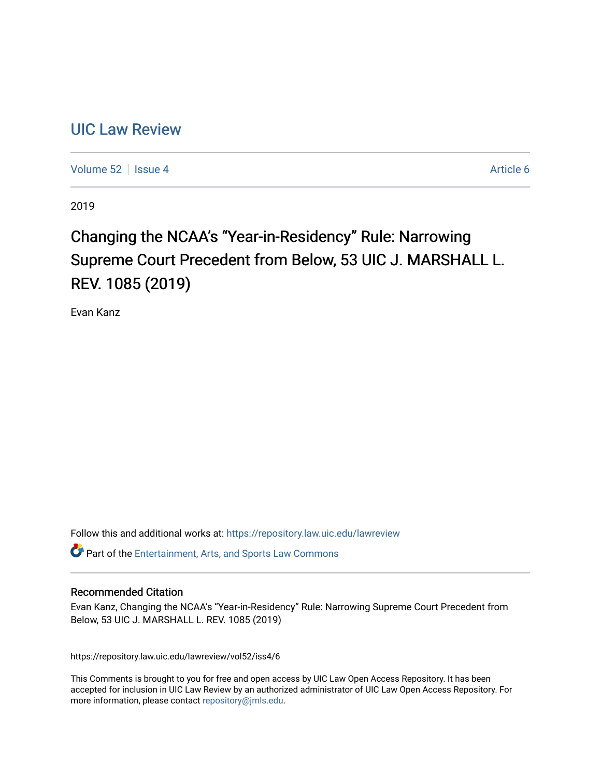# [UIC Law Review](https://repository.law.uic.edu/lawreview)

[Volume 52](https://repository.law.uic.edu/lawreview/vol52) | [Issue 4](https://repository.law.uic.edu/lawreview/vol52/iss4) Article 6

2019

# Changing the NCAA's "Year-in-Residency" Rule: Narrowing Supreme Court Precedent from Below, 53 UIC J. MARSHALL L. REV. 1085 (2019)

Evan Kanz

Follow this and additional works at: [https://repository.law.uic.edu/lawreview](https://repository.law.uic.edu/lawreview?utm_source=repository.law.uic.edu%2Flawreview%2Fvol52%2Fiss4%2F6&utm_medium=PDF&utm_campaign=PDFCoverPages) 

Part of the [Entertainment, Arts, and Sports Law Commons](http://network.bepress.com/hgg/discipline/893?utm_source=repository.law.uic.edu%2Flawreview%2Fvol52%2Fiss4%2F6&utm_medium=PDF&utm_campaign=PDFCoverPages)

## Recommended Citation

Evan Kanz, Changing the NCAA's "Year-in-Residency" Rule: Narrowing Supreme Court Precedent from Below, 53 UIC J. MARSHALL L. REV. 1085 (2019)

https://repository.law.uic.edu/lawreview/vol52/iss4/6

This Comments is brought to you for free and open access by UIC Law Open Access Repository. It has been accepted for inclusion in UIC Law Review by an authorized administrator of UIC Law Open Access Repository. For more information, please contact [repository@jmls.edu.](mailto:repository@jmls.edu)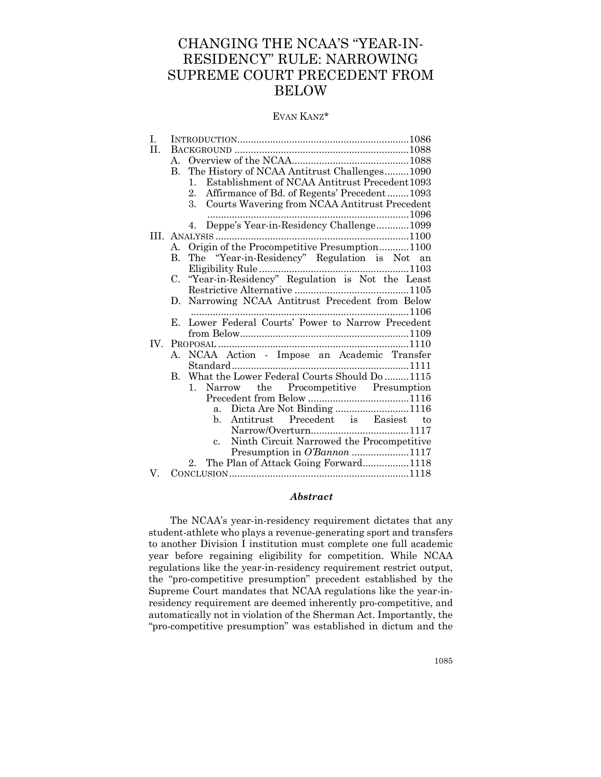## CHANGING THE NCAA'S "YEAR-IN-RESIDENCY" RULE: NARROWING SUPREME COURT PRECEDENT FROM BELOW

#### EVAN KANZ\*

| Ι.  |              |                                                                  |
|-----|--------------|------------------------------------------------------------------|
| H.  |              |                                                                  |
|     | $A_{\cdot}$  |                                                                  |
|     | B.           | The History of NCAA Antitrust Challenges1090                     |
|     |              | Establishment of NCAA Antitrust Precedent 1093<br>$\mathbf{1}$ . |
|     |              | Affirmance of Bd. of Regents' Precedent1093<br>2.                |
|     |              | 3.<br>Courts Wavering from NCAA Antitrust Precedent              |
|     |              |                                                                  |
|     |              | 4. Deppe's Year-in-Residency Challenge1099                       |
|     |              |                                                                  |
|     | A.           | Origin of the Procompetitive Presumption1100                     |
|     | $\mathbf{B}$ | The "Year-in-Residency" Regulation is Not an                     |
|     |              |                                                                  |
|     |              | C. "Year-in-Residency" Regulation is Not the Least               |
|     |              |                                                                  |
|     | D.           | Narrowing NCAA Antitrust Precedent from Below                    |
|     |              |                                                                  |
|     | Е.           | Lower Federal Courts' Power to Narrow Precedent                  |
|     |              |                                                                  |
| IV. |              |                                                                  |
|     | A.           | NCAA Action - Impose an Academic Transfer                        |
|     |              |                                                                  |
|     |              | B. What the Lower Federal Courts Should Do 1115                  |
|     |              | Narrow the Procompetitive Presumption<br>$1_{-}$                 |
|     |              |                                                                  |
|     |              | a. Dicta Are Not Binding 1116                                    |
|     |              | Antitrust Precedent is Easiest to<br>b.                          |
|     |              |                                                                  |
|     |              | Ninth Circuit Narrowed the Procompetitive<br>$\mathbf{c}$ .      |
|     |              | Presumption in O'Bannon 1117                                     |
|     |              | 2. The Plan of Attack Going Forward1118                          |
| V.  |              |                                                                  |

#### *Abstract*

The NCAA's year-in-residency requirement dictates that any student-athlete who plays a revenue-generating sport and transfers to another Division I institution must complete one full academic year before regaining eligibility for competition. While NCAA regulations like the year-in-residency requirement restrict output, the "pro-competitive presumption" precedent established by the Supreme Court mandates that NCAA regulations like the year-inresidency requirement are deemed inherently pro-competitive, and automatically not in violation of the Sherman Act. Importantly, the "pro-competitive presumption" was established in dictum and the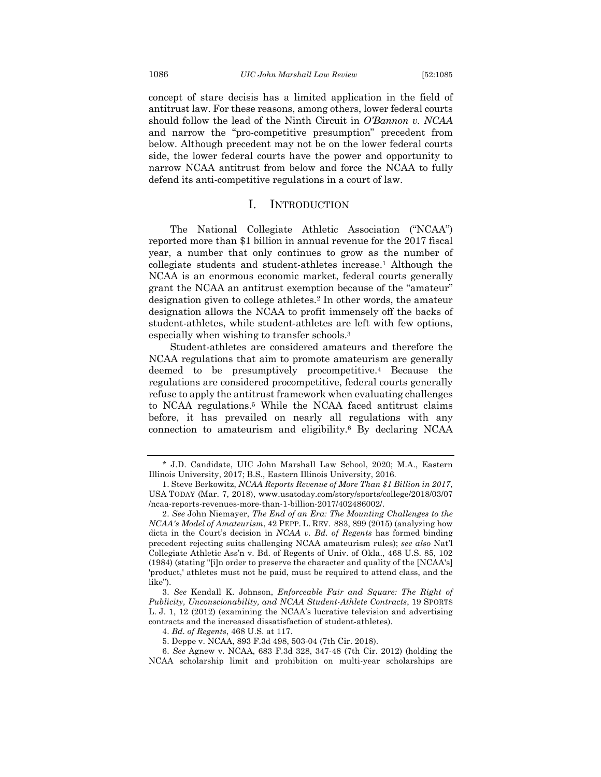concept of stare decisis has a limited application in the field of antitrust law. For these reasons, among others, lower federal courts should follow the lead of the Ninth Circuit in *O'Bannon v. NCAA* and narrow the "pro-competitive presumption" precedent from below. Although precedent may not be on the lower federal courts side, the lower federal courts have the power and opportunity to narrow NCAA antitrust from below and force the NCAA to fully defend its anti-competitive regulations in a court of law.

### I. INTRODUCTION

The National Collegiate Athletic Association ("NCAA") reported more than \$1 billion in annual revenue for the 2017 fiscal year, a number that only continues to grow as the number of collegiate students and student-athletes increase.1 Although the NCAA is an enormous economic market, federal courts generally grant the NCAA an antitrust exemption because of the "amateur" designation given to college athletes.2 In other words, the amateur designation allows the NCAA to profit immensely off the backs of student-athletes, while student-athletes are left with few options, especially when wishing to transfer schools.3

Student-athletes are considered amateurs and therefore the NCAA regulations that aim to promote amateurism are generally deemed to be presumptively procompetitive.4 Because the regulations are considered procompetitive, federal courts generally refuse to apply the antitrust framework when evaluating challenges to NCAA regulations.5 While the NCAA faced antitrust claims before, it has prevailed on nearly all regulations with any connection to amateurism and eligibility.6 By declaring NCAA

<sup>\*</sup> J.D. Candidate, UIC John Marshall Law School, 2020; M.A., Eastern Illinois University, 2017; B.S., Eastern Illinois University, 2016.

<sup>1.</sup> Steve Berkowitz, *NCAA Reports Revenue of More Than \$1 Billion in 2017*, USA TODAY (Mar. 7, 2018), www.usatoday.com/story/sports/college/2018/03/07 /ncaa-reports-revenues-more-than-1-billion-2017/402486002/.

<sup>2.</sup> *See* John Niemayer, *The End of an Era: The Mounting Challenges to the NCAA's Model of Amateurism*, 42 PEPP. L. REV. 883, 899 (2015) (analyzing how dicta in the Court's decision in *NCAA v. Bd. of Regents* has formed binding precedent rejecting suits challenging NCAA amateurism rules); *see also* Nat'l Collegiate Athletic Ass'n v. Bd. of Regents of Univ. of Okla., 468 U.S. 85, 102 (1984) (stating "[i]n order to preserve the character and quality of the [NCAA's] 'product,' athletes must not be paid, must be required to attend class, and the like").

<sup>3.</sup> *See* Kendall K. Johnson, *Enforceable Fair and Square: The Right of Publicity, Unconscionability, and NCAA Student-Athlete Contracts*, 19 SPORTS L. J. 1, 12 (2012) (examining the NCAA's lucrative television and advertising contracts and the increased dissatisfaction of student-athletes).

<sup>4.</sup> *Bd. of Regents*, 468 U.S. at 117.

<sup>5.</sup> Deppe v. NCAA, 893 F.3d 498, 503-04 (7th Cir. 2018).

<sup>6.</sup> *See* Agnew v. NCAA, 683 F.3d 328, 347-48 (7th Cir. 2012) (holding the NCAA scholarship limit and prohibition on multi-year scholarships are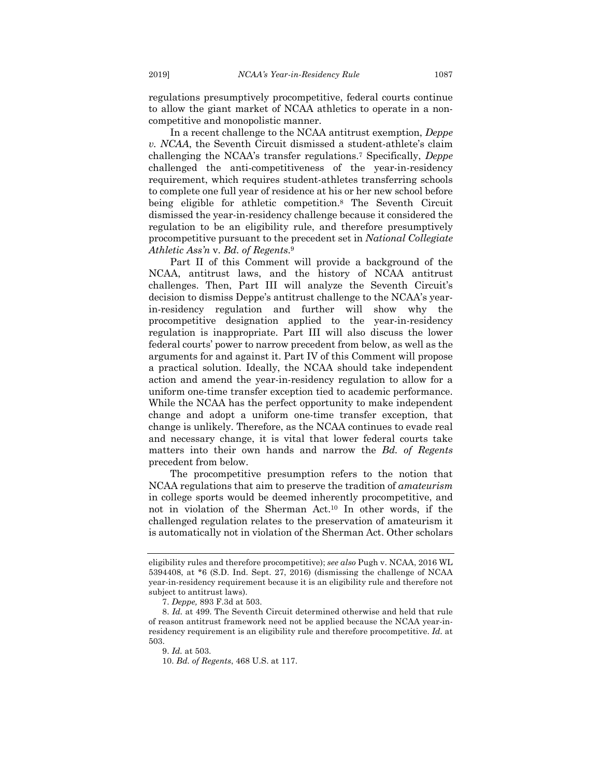regulations presumptively procompetitive, federal courts continue to allow the giant market of NCAA athletics to operate in a noncompetitive and monopolistic manner.

In a recent challenge to the NCAA antitrust exemption, *Deppe v. NCAA*, the Seventh Circuit dismissed a student-athlete's claim challenging the NCAA's transfer regulations.7 Specifically, *Deppe* challenged the anti-competitiveness of the year-in-residency requirement, which requires student-athletes transferring schools to complete one full year of residence at his or her new school before being eligible for athletic competition.8 The Seventh Circuit dismissed the year-in-residency challenge because it considered the regulation to be an eligibility rule, and therefore presumptively procompetitive pursuant to the precedent set in *National Collegiate Athletic Ass'n* v. *Bd. of Regents*.9

Part II of this Comment will provide a background of the NCAA, antitrust laws, and the history of NCAA antitrust challenges. Then, Part III will analyze the Seventh Circuit's decision to dismiss Deppe's antitrust challenge to the NCAA's yearin-residency regulation and further will show why the procompetitive designation applied to the year-in-residency regulation is inappropriate. Part III will also discuss the lower federal courts' power to narrow precedent from below, as well as the arguments for and against it. Part IV of this Comment will propose a practical solution. Ideally, the NCAA should take independent action and amend the year-in-residency regulation to allow for a uniform one-time transfer exception tied to academic performance. While the NCAA has the perfect opportunity to make independent change and adopt a uniform one-time transfer exception, that change is unlikely. Therefore, as the NCAA continues to evade real and necessary change, it is vital that lower federal courts take matters into their own hands and narrow the *Bd. of Regents* precedent from below.

The procompetitive presumption refers to the notion that NCAA regulations that aim to preserve the tradition of *amateurism* in college sports would be deemed inherently procompetitive, and not in violation of the Sherman Act.10 In other words, if the challenged regulation relates to the preservation of amateurism it is automatically not in violation of the Sherman Act. Other scholars

eligibility rules and therefore procompetitive); *see also* Pugh v. NCAA, 2016 WL 5394408, at \*6 (S.D. Ind. Sept. 27, 2016) (dismissing the challenge of NCAA year-in-residency requirement because it is an eligibility rule and therefore not subject to antitrust laws).

<sup>7.</sup> *Deppe,* 893 F.3d at 503.

<sup>8.</sup> *Id.* at 499. The Seventh Circuit determined otherwise and held that rule of reason antitrust framework need not be applied because the NCAA year-inresidency requirement is an eligibility rule and therefore procompetitive. *Id.* at 503.

<sup>9.</sup> *Id.* at 503.

<sup>10.</sup> *Bd. of Regents*, 468 U.S. at 117.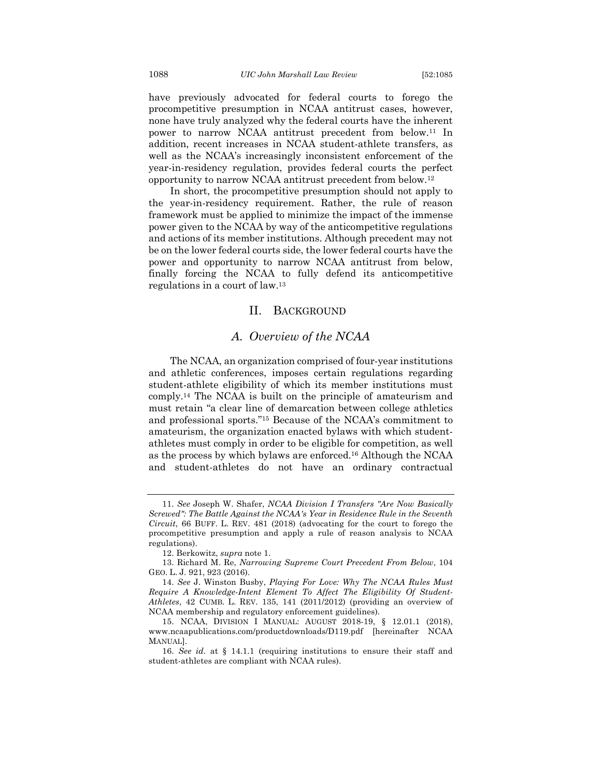have previously advocated for federal courts to forego the procompetitive presumption in NCAA antitrust cases, however, none have truly analyzed why the federal courts have the inherent power to narrow NCAA antitrust precedent from below.11 In addition, recent increases in NCAA student-athlete transfers, as well as the NCAA's increasingly inconsistent enforcement of the year-in-residency regulation, provides federal courts the perfect opportunity to narrow NCAA antitrust precedent from below.12

In short, the procompetitive presumption should not apply to the year-in-residency requirement. Rather, the rule of reason framework must be applied to minimize the impact of the immense power given to the NCAA by way of the anticompetitive regulations and actions of its member institutions. Although precedent may not be on the lower federal courts side, the lower federal courts have the power and opportunity to narrow NCAA antitrust from below, finally forcing the NCAA to fully defend its anticompetitive regulations in a court of law.13

#### II. BACKGROUND

## *A. Overview of the NCAA*

The NCAA, an organization comprised of four-year institutions and athletic conferences, imposes certain regulations regarding student-athlete eligibility of which its member institutions must comply.14 The NCAA is built on the principle of amateurism and must retain "a clear line of demarcation between college athletics and professional sports."15 Because of the NCAA's commitment to amateurism, the organization enacted bylaws with which studentathletes must comply in order to be eligible for competition, as well as the process by which bylaws are enforced.16 Although the NCAA and student-athletes do not have an ordinary contractual

<sup>11.</sup> *See* Joseph W. Shafer, *NCAA Division I Transfers "Are Now Basically Screwed": The Battle Against the NCAA's Year in Residence Rule in the Seventh Circuit*, 66 BUFF. L. REV. 481 (2018) (advocating for the court to forego the procompetitive presumption and apply a rule of reason analysis to NCAA regulations).

<sup>12.</sup> Berkowitz, *supra* note 1.

<sup>13.</sup> Richard M. Re, *Narrowing Supreme Court Precedent From Below*, 104 GEO. L. J. 921, 923 (2016).

<sup>14.</sup> *See* J. Winston Busby, *Playing For Love: Why The NCAA Rules Must Require A Knowledge-Intent Element To Affect The Eligibility Of Student-Athletes*, 42 CUMB. L. REV. 135, 141 (2011/2012) (providing an overview of NCAA membership and regulatory enforcement guidelines).

<sup>15.</sup> NCAA, DIVISION I MANUAL: AUGUST 2018-19, § 12.01.1 (2018), www.ncaapublications.com/productdownloads/D119.pdf [hereinafter NCAA MANUAL].

<sup>16.</sup> *See id.* at § 14.1.1 (requiring institutions to ensure their staff and student-athletes are compliant with NCAA rules).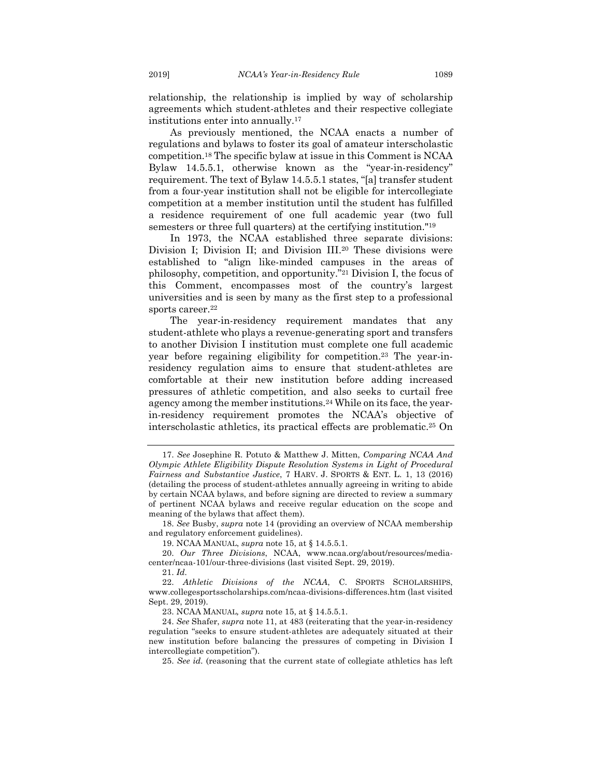relationship, the relationship is implied by way of scholarship agreements which student-athletes and their respective collegiate institutions enter into annually.17

As previously mentioned, the NCAA enacts a number of regulations and bylaws to foster its goal of amateur interscholastic competition.18 The specific bylaw at issue in this Comment is NCAA Bylaw 14.5.5.1, otherwise known as the "year-in-residency" requirement. The text of Bylaw 14.5.5.1 states, "[a] transfer student from a four-year institution shall not be eligible for intercollegiate competition at a member institution until the student has fulfilled a residence requirement of one full academic year (two full semesters or three full quarters) at the certifying institution."19

In 1973, the NCAA established three separate divisions: Division I; Division II; and Division III.20 These divisions were established to "align like-minded campuses in the areas of philosophy, competition, and opportunity."21 Division I, the focus of this Comment, encompasses most of the country's largest universities and is seen by many as the first step to a professional sports career.<sup>22</sup>

The year-in-residency requirement mandates that any student-athlete who plays a revenue-generating sport and transfers to another Division I institution must complete one full academic year before regaining eligibility for competition.23 The year-inresidency regulation aims to ensure that student-athletes are comfortable at their new institution before adding increased pressures of athletic competition, and also seeks to curtail free agency among the member institutions.24 While on its face, the yearin-residency requirement promotes the NCAA's objective of interscholastic athletics, its practical effects are problematic.25 On

18. *See* Busby, *supra* note 14 (providing an overview of NCAA membership and regulatory enforcement guidelines).

19. NCAA MANUAL, *supra* note 15, at § 14.5.5.1.

20. *Our Three Divisions*, NCAA, www.ncaa.org/about/resources/mediacenter/ncaa-101/our-three-divisions (last visited Sept. 29, 2019).

21. *Id.*

22. *Athletic Divisions of the NCAA*, C. SPORTS SCHOLARSHIPS, www.collegesportsscholarships.com/ncaa-divisions-differences.htm (last visited Sept. 29, 2019).

23. NCAA MANUAL*, supra* note 15, at § 14.5.5.1.

25. *See id.* (reasoning that the current state of collegiate athletics has left

<sup>17.</sup> *See* Josephine R. Potuto & Matthew J. Mitten, *Comparing NCAA And Olympic Athlete Eligibility Dispute Resolution Systems in Light of Procedural Fairness and Substantive Justice*, 7 HARV. J. SPORTS & ENT. L. 1, 13 (2016) (detailing the process of student-athletes annually agreeing in writing to abide by certain NCAA bylaws, and before signing are directed to review a summary of pertinent NCAA bylaws and receive regular education on the scope and meaning of the bylaws that affect them).

<sup>24.</sup> *See* Shafer, *supra* note 11, at 483 (reiterating that the year-in-residency regulation "seeks to ensure student-athletes are adequately situated at their new institution before balancing the pressures of competing in Division I intercollegiate competition").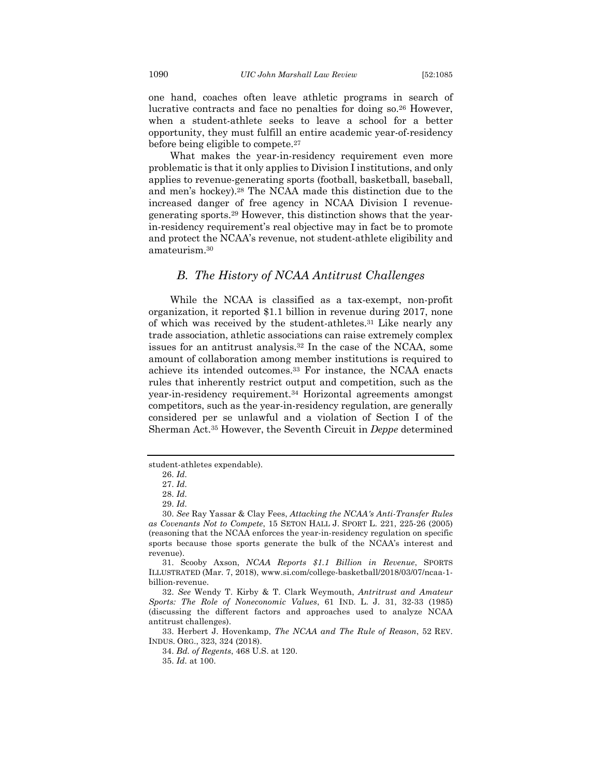one hand, coaches often leave athletic programs in search of lucrative contracts and face no penalties for doing so.26 However, when a student-athlete seeks to leave a school for a better opportunity, they must fulfill an entire academic year-of-residency before being eligible to compete.27

What makes the year-in-residency requirement even more problematic is that it only applies to Division I institutions, and only applies to revenue-generating sports (football, basketball, baseball, and men's hockey).28 The NCAA made this distinction due to the increased danger of free agency in NCAA Division I revenuegenerating sports.29 However, this distinction shows that the yearin-residency requirement's real objective may in fact be to promote and protect the NCAA's revenue, not student-athlete eligibility and amateurism.30

## *B. The History of NCAA Antitrust Challenges*

While the NCAA is classified as a tax-exempt, non-profit organization, it reported \$1.1 billion in revenue during 2017, none of which was received by the student-athletes.31 Like nearly any trade association, athletic associations can raise extremely complex issues for an antitrust analysis.32 In the case of the NCAA, some amount of collaboration among member institutions is required to achieve its intended outcomes.33 For instance, the NCAA enacts rules that inherently restrict output and competition, such as the year-in-residency requirement.34 Horizontal agreements amongst competitors, such as the year-in-residency regulation, are generally considered per se unlawful and a violation of Section I of the Sherman Act.35 However, the Seventh Circuit in *Deppe* determined

33. Herbert J. Hovenkamp, *The NCAA and The Rule of Reason*, 52 REV. INDUS. ORG., 323, 324 (2018).

student-athletes expendable).

<sup>26.</sup> *Id.*

<sup>27.</sup> *Id.*

<sup>28.</sup> *Id.*

<sup>29.</sup> *Id.*

<sup>30.</sup> *See* Ray Yassar & Clay Fees, *Attacking the NCAA's Anti-Transfer Rules as Covenants Not to Compete*, 15 SETON HALL J. SPORT L. 221, 225-26 (2005) (reasoning that the NCAA enforces the year-in-residency regulation on specific sports because those sports generate the bulk of the NCAA's interest and revenue).

<sup>31.</sup> Scooby Axson, *NCAA Reports \$1.1 Billion in Revenue*, SPORTS ILLUSTRATED (Mar. 7, 2018), www.si.com/college-basketball/2018/03/07/ncaa-1 billion-revenue.

<sup>32.</sup> *See* Wendy T. Kirby & T. Clark Weymouth, *Antritrust and Amateur Sports: The Role of Noneconomic Values*, 61 IND. L. J. 31, 32-33 (1985) (discussing the different factors and approaches used to analyze NCAA antitrust challenges).

<sup>34.</sup> *Bd. of Regents*, 468 U.S. at 120.

<sup>35.</sup> *Id.* at 100.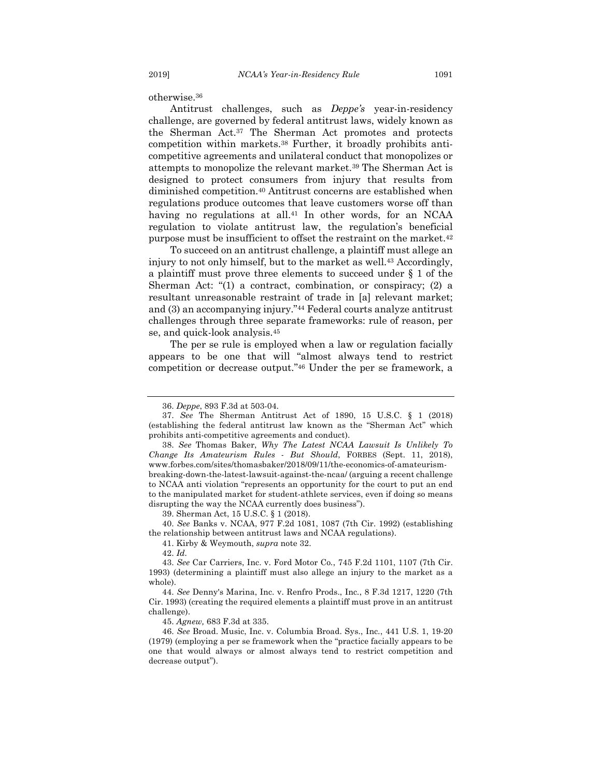otherwise.36

Antitrust challenges, such as *Deppe's* year-in-residency challenge, are governed by federal antitrust laws, widely known as the Sherman Act.37 The Sherman Act promotes and protects competition within markets.38 Further, it broadly prohibits anticompetitive agreements and unilateral conduct that monopolizes or attempts to monopolize the relevant market.39 The Sherman Act is designed to protect consumers from injury that results from diminished competition.40 Antitrust concerns are established when regulations produce outcomes that leave customers worse off than having no regulations at all.<sup>41</sup> In other words, for an NCAA regulation to violate antitrust law, the regulation's beneficial purpose must be insufficient to offset the restraint on the market.42

To succeed on an antitrust challenge, a plaintiff must allege an injury to not only himself, but to the market as well.<sup>43</sup> Accordingly, a plaintiff must prove three elements to succeed under § 1 of the Sherman Act: "(1) a contract, combination, or conspiracy; (2) a resultant unreasonable restraint of trade in [a] relevant market; and (3) an accompanying injury."44 Federal courts analyze antitrust challenges through three separate frameworks: rule of reason, per se, and quick-look analysis.45

The per se rule is employed when a law or regulation facially appears to be one that will "almost always tend to restrict competition or decrease output."46 Under the per se framework, a

39. Sherman Act, 15 U.S.C. § 1 (2018).

42. *Id.*

<sup>36.</sup> *Deppe*, 893 F.3d at 503-04.

<sup>37.</sup> *See* The Sherman Antitrust Act of 1890, 15 U.S.C. § 1 (2018) (establishing the federal antitrust law known as the "Sherman Act" which prohibits anti-competitive agreements and conduct).

<sup>38.</sup> *See* Thomas Baker, *Why The Latest NCAA Lawsuit Is Unlikely To Change Its Amateurism Rules - But Should*, FORBES (Sept. 11, 2018), www.forbes.com/sites/thomasbaker/2018/09/11/the-economics-of-amateurismbreaking-down-the-latest-lawsuit-against-the-ncaa/ (arguing a recent challenge to NCAA anti violation "represents an opportunity for the court to put an end to the manipulated market for student-athlete services, even if doing so means disrupting the way the NCAA currently does business").

<sup>40.</sup> *See* Banks v. NCAA, 977 F.2d 1081, 1087 (7th Cir. 1992) (establishing the relationship between antitrust laws and NCAA regulations).

<sup>41.</sup> Kirby & Weymouth, *supra* note 32.

<sup>43.</sup> *See* Car Carriers, Inc. v. Ford Motor Co*.*, 745 F.2d 1101, 1107 (7th Cir. 1993) (determining a plaintiff must also allege an injury to the market as a whole).

<sup>44.</sup> *See* Denny's Marina, Inc. v. Renfro Prods., Inc*.*, 8 F.3d 1217, 1220 (7th Cir. 1993) (creating the required elements a plaintiff must prove in an antitrust challenge).

<sup>45.</sup> *Agnew,* 683 F.3d at 335.

<sup>46.</sup> *See* Broad. Music, Inc. v. Columbia Broad. Sys., Inc*.*, 441 U.S. 1, 19-20 (1979) (employing a per se framework when the "practice facially appears to be one that would always or almost always tend to restrict competition and decrease output").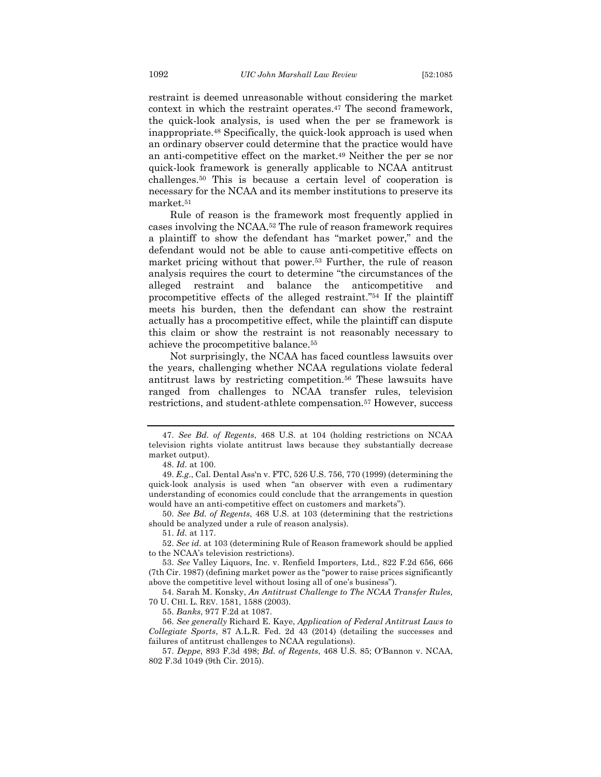restraint is deemed unreasonable without considering the market context in which the restraint operates.47 The second framework, the quick-look analysis, is used when the per se framework is inappropriate.48 Specifically, the quick-look approach is used when an ordinary observer could determine that the practice would have an anti-competitive effect on the market.49 Neither the per se nor quick-look framework is generally applicable to NCAA antitrust challenges.50 This is because a certain level of cooperation is necessary for the NCAA and its member institutions to preserve its market.51

Rule of reason is the framework most frequently applied in cases involving the NCAA.52 The rule of reason framework requires a plaintiff to show the defendant has "market power," and the defendant would not be able to cause anti-competitive effects on market pricing without that power.53 Further, the rule of reason analysis requires the court to determine "the circumstances of the alleged restraint and balance the anticompetitive and procompetitive effects of the alleged restraint."54 If the plaintiff meets his burden, then the defendant can show the restraint actually has a procompetitive effect, while the plaintiff can dispute this claim or show the restraint is not reasonably necessary to achieve the procompetitive balance.55

Not surprisingly, the NCAA has faced countless lawsuits over the years, challenging whether NCAA regulations violate federal antitrust laws by restricting competition.56 These lawsuits have ranged from challenges to NCAA transfer rules, television restrictions, and student-athlete compensation.57 However, success

50. *See Bd. of Regents*, 468 U.S. at 103 (determining that the restrictions should be analyzed under a rule of reason analysis).

51. *Id.* at 117.

52. *See id.* at 103 (determining Rule of Reason framework should be applied to the NCAA's television restrictions).

<sup>47.</sup> *See Bd. of Regents*, 468 U.S. at 104 (holding restrictions on NCAA television rights violate antitrust laws because they substantially decrease market output).

<sup>48.</sup> *Id.* at 100.

<sup>49.</sup> *E.g*., Cal. Dental Ass'n v. FTC, 526 U.S. 756, 770 (1999) (determining the quick-look analysis is used when "an observer with even a rudimentary understanding of economics could conclude that the arrangements in question would have an anti-competitive effect on customers and markets").

<sup>53.</sup> *See* Valley Liquors, Inc. v. Renfield Importers, Ltd*.*, 822 F.2d 656, 666 (7th Cir. 1987) (defining market power as the "power to raise prices significantly above the competitive level without losing all of one's business").

<sup>54.</sup> Sarah M. Konsky, *An Antitrust Challenge to The NCAA Transfer Rules,* 70 U. CHI. L. REV. 1581, 1588 (2003).

<sup>55.</sup> *Banks*, 977 F.2d at 1087.

<sup>56.</sup> *See generally* Richard E. Kaye, *Application of Federal Antitrust Laws to Collegiate Sports*, 87 A.L.R. Fed. 2d 43 (2014) (detailing the successes and failures of antitrust challenges to NCAA regulations).

<sup>57.</sup> *Deppe*, 893 F.3d 498; *Bd. of Regents*, 468 U.S. 85; O'Bannon v. NCAA, 802 F.3d 1049 (9th Cir. 2015).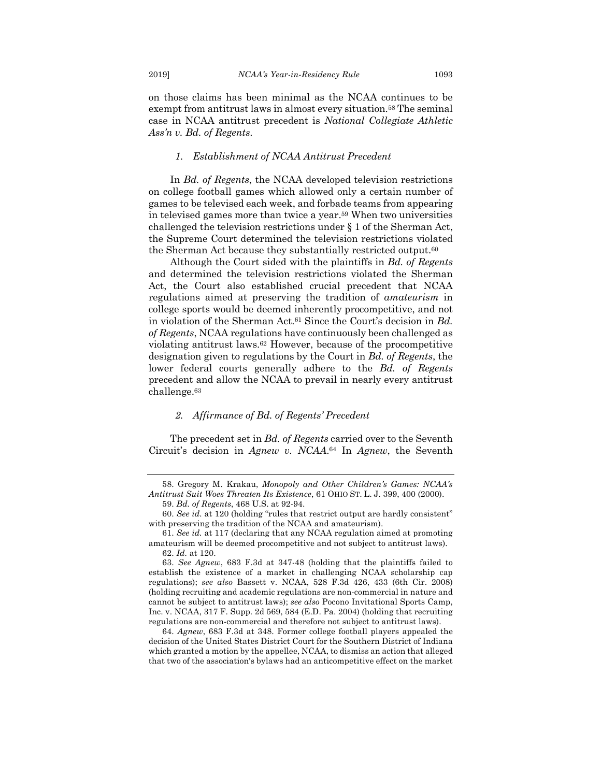on those claims has been minimal as the NCAA continues to be exempt from antitrust laws in almost every situation.<sup>58</sup> The seminal case in NCAA antitrust precedent is *National Collegiate Athletic Ass'n v. Bd. of Regents*.

#### *1. Establishment of NCAA Antitrust Precedent*

In *Bd. of Regents*, the NCAA developed television restrictions on college football games which allowed only a certain number of games to be televised each week, and forbade teams from appearing in televised games more than twice a year.59 When two universities challenged the television restrictions under § 1 of the Sherman Act, the Supreme Court determined the television restrictions violated the Sherman Act because they substantially restricted output.<sup>60</sup>

Although the Court sided with the plaintiffs in *Bd. of Regents*  and determined the television restrictions violated the Sherman Act, the Court also established crucial precedent that NCAA regulations aimed at preserving the tradition of *amateurism* in college sports would be deemed inherently procompetitive, and not in violation of the Sherman Act.61 Since the Court's decision in *Bd. of Regents*, NCAA regulations have continuously been challenged as violating antitrust laws.62 However, because of the procompetitive designation given to regulations by the Court in *Bd. of Regents*, the lower federal courts generally adhere to the *Bd. of Regents* precedent and allow the NCAA to prevail in nearly every antitrust challenge.63

#### *2. Affirmance of Bd. of Regents' Precedent*

The precedent set in *Bd. of Regents* carried over to the Seventh Circuit's decision in *Agnew v. NCAA*.64 In *Agnew*, the Seventh

<sup>58.</sup> Gregory M. Krakau, *Monopoly and Other Children's Games: NCAA's Antitrust Suit Woes Threaten Its Existence*, 61 OHIO ST. L. J. 399, 400 (2000). 59. *Bd. of Regents*, 468 U.S. at 92-94.

<sup>60.</sup> *See id.* at 120 (holding "rules that restrict output are hardly consistent" with preserving the tradition of the NCAA and amateurism).

<sup>61.</sup> *See id.* at 117 (declaring that any NCAA regulation aimed at promoting amateurism will be deemed procompetitive and not subject to antitrust laws).

<sup>62.</sup> *Id.* at 120.

<sup>63.</sup> *See Agnew*, 683 F.3d at 347-48 (holding that the plaintiffs failed to establish the existence of a market in challenging NCAA scholarship cap regulations); *see also* Bassett v. NCAA, 528 F.3d 426, 433 (6th Cir. 2008) (holding recruiting and academic regulations are non-commercial in nature and cannot be subject to antitrust laws); *see also* Pocono Invitational Sports Camp, Inc. v. NCAA, 317 F. Supp. 2d 569, 584 (E.D. Pa. 2004) (holding that recruiting regulations are non-commercial and therefore not subject to antitrust laws).

<sup>64.</sup> *Agnew*, 683 F.3d at 348. Former college football players appealed the decision of the United States District Court for the Southern District of Indiana which granted a motion by the appellee, NCAA, to dismiss an action that alleged that two of the association's bylaws had an anticompetitive effect on the market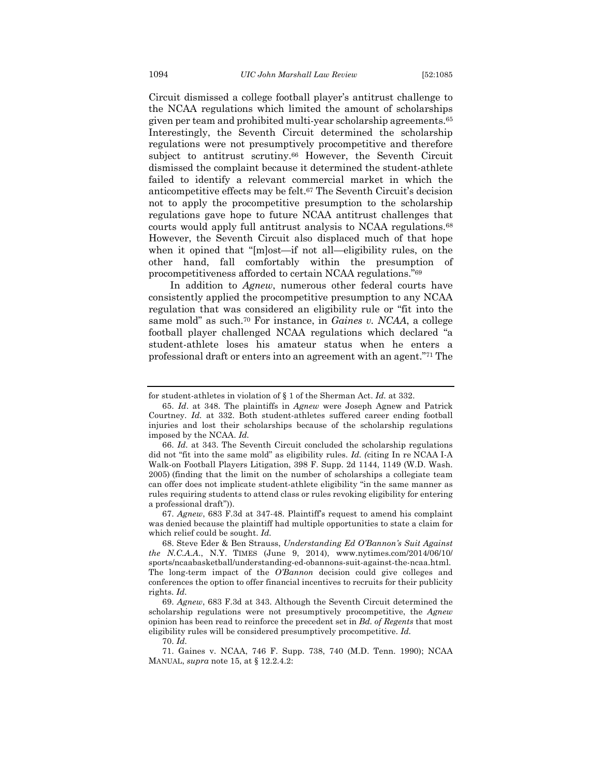Circuit dismissed a college football player's antitrust challenge to the NCAA regulations which limited the amount of scholarships given per team and prohibited multi-year scholarship agreements.65 Interestingly, the Seventh Circuit determined the scholarship regulations were not presumptively procompetitive and therefore subject to antitrust scrutiny.<sup>66</sup> However, the Seventh Circuit dismissed the complaint because it determined the student-athlete failed to identify a relevant commercial market in which the anticompetitive effects may be felt.67 The Seventh Circuit's decision not to apply the procompetitive presumption to the scholarship regulations gave hope to future NCAA antitrust challenges that courts would apply full antitrust analysis to NCAA regulations.68 However, the Seventh Circuit also displaced much of that hope when it opined that "[m]ost—if not all—eligibility rules, on the other hand, fall comfortably within the presumption of procompetitiveness afforded to certain NCAA regulations."69

In addition to *Agnew*, numerous other federal courts have consistently applied the procompetitive presumption to any NCAA regulation that was considered an eligibility rule or "fit into the same mold" as such.70 For instance, in *Gaines v. NCAA*, a college football player challenged NCAA regulations which declared "a student-athlete loses his amateur status when he enters a professional draft or enters into an agreement with an agent."71 The

67. *Agnew*, 683 F.3d at 347-48. Plaintiff's request to amend his complaint was denied because the plaintiff had multiple opportunities to state a claim for which relief could be sought. *Id.*

for student-athletes in violation of § 1 of the Sherman Act. *Id.* at 332.

<sup>65.</sup> *Id*. at 348. The plaintiffs in *Agnew* were Joseph Agnew and Patrick Courtney. *Id.* at 332. Both student-athletes suffered career ending football injuries and lost their scholarships because of the scholarship regulations imposed by the NCAA. *Id.*

<sup>66.</sup> *Id.* at 343. The Seventh Circuit concluded the scholarship regulations did not "fit into the same mold" as eligibility rules. *Id. (*citing In re NCAA I-A Walk-on Football Players Litigation, 398 F. Supp. 2d 1144, 1149 (W.D. Wash. 2005) (finding that the limit on the number of scholarships a collegiate team can offer does not implicate student-athlete eligibility "in the same manner as rules requiring students to attend class or rules revoking eligibility for entering a professional draft")).

<sup>68.</sup> Steve Eder & Ben Strauss, *Understanding Ed O'Bannon's Suit Against the N.C.A.A*., N.Y. TIMES (June 9, 2014), www.nytimes.com/2014/06/10/ sports/ncaabasketball/understanding-ed-obannons-suit-against-the-ncaa.html. The long-term impact of the *O'Bannon* decision could give colleges and conferences the option to offer financial incentives to recruits for their publicity rights. *Id.*

<sup>69.</sup> *Agnew*, 683 F.3d at 343. Although the Seventh Circuit determined the scholarship regulations were not presumptively procompetitive, the *Agnew*  opinion has been read to reinforce the precedent set in *Bd. of Regents* that most eligibility rules will be considered presumptively procompetitive. *Id.*

<sup>70.</sup> *Id.*

<sup>71.</sup> Gaines v. NCAA, 746 F. Supp. 738, 740 (M.D. Tenn. 1990); NCAA MANUAL, *supra* note 15, at § 12.2.4.2: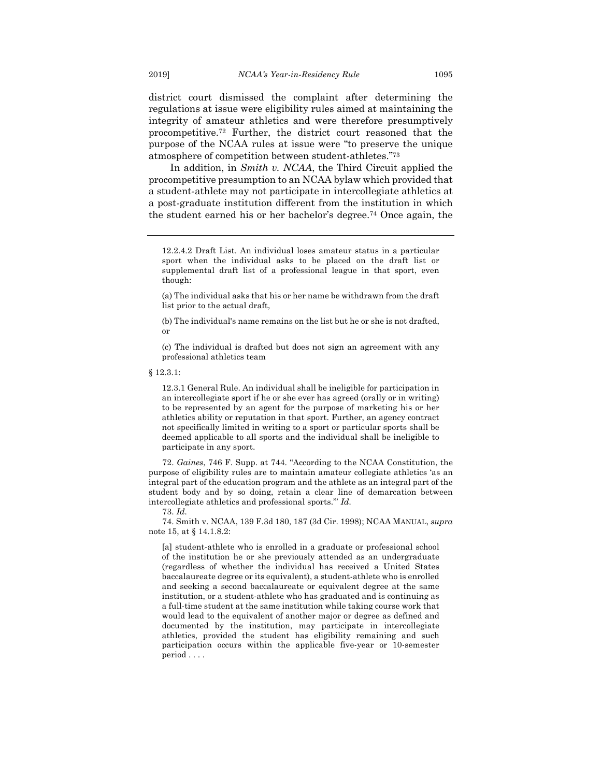district court dismissed the complaint after determining the regulations at issue were eligibility rules aimed at maintaining the integrity of amateur athletics and were therefore presumptively procompetitive.72 Further, the district court reasoned that the purpose of the NCAA rules at issue were "to preserve the unique atmosphere of competition between student-athletes."73

In addition, in *Smith v. NCAA*, the Third Circuit applied the procompetitive presumption to an NCAA bylaw which provided that a student-athlete may not participate in intercollegiate athletics at a post-graduate institution different from the institution in which the student earned his or her bachelor's degree.74 Once again, the

(a) The individual asks that his or her name be withdrawn from the draft list prior to the actual draft,

(b) The individual's name remains on the list but he or she is not drafted, or

(c) The individual is drafted but does not sign an agreement with any professional athletics team

§ 12.3.1:

12.3.1 General Rule. An individual shall be ineligible for participation in an intercollegiate sport if he or she ever has agreed (orally or in writing) to be represented by an agent for the purpose of marketing his or her athletics ability or reputation in that sport. Further, an agency contract not specifically limited in writing to a sport or particular sports shall be deemed applicable to all sports and the individual shall be ineligible to participate in any sport.

72. *Gaines*, 746 F. Supp. at 744. "According to the NCAA Constitution, the purpose of eligibility rules are to maintain amateur collegiate athletics 'as an integral part of the education program and the athlete as an integral part of the student body and by so doing, retain a clear line of demarcation between intercollegiate athletics and professional sports.'" *Id.*

73. *Id.*

74. Smith v. NCAA, 139 F.3d 180, 187 (3d Cir. 1998); NCAA MANUAL, *supra* note 15, at § 14.1.8.2:

[a] student-athlete who is enrolled in a graduate or professional school of the institution he or she previously attended as an undergraduate (regardless of whether the individual has received a United States baccalaureate degree or its equivalent), a student-athlete who is enrolled and seeking a second baccalaureate or equivalent degree at the same institution, or a student-athlete who has graduated and is continuing as a full-time student at the same institution while taking course work that would lead to the equivalent of another major or degree as defined and documented by the institution, may participate in intercollegiate athletics, provided the student has eligibility remaining and such participation occurs within the applicable five-year or 10-semester period . . . .

<sup>12.2.4.2</sup> Draft List. An individual loses amateur status in a particular sport when the individual asks to be placed on the draft list or supplemental draft list of a professional league in that sport, even though: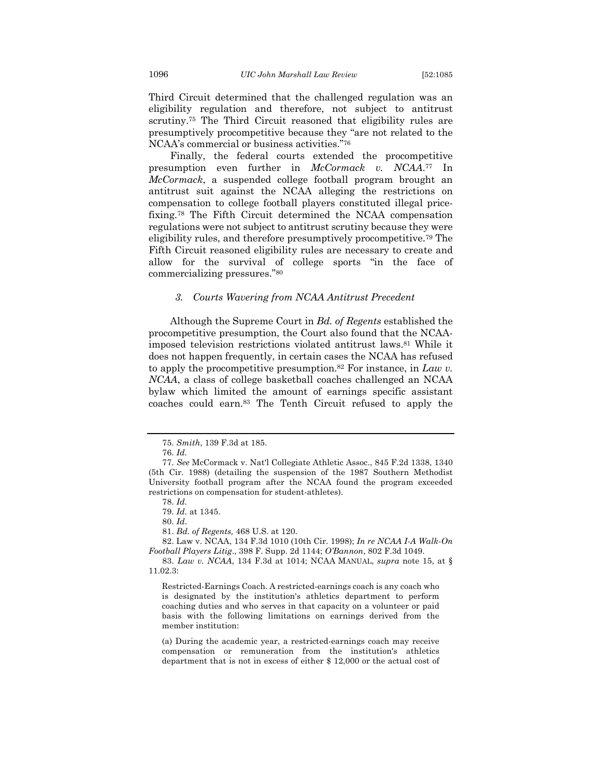Third Circuit determined that the challenged regulation was an eligibility regulation and therefore, not subject to antitrust scrutiny.75 The Third Circuit reasoned that eligibility rules are presumptively procompetitive because they "are not related to the NCAA's commercial or business activities."76

Finally, the federal courts extended the procompetitive presumption even further in *McCormack v. NCAA*.77 In *McCormack*, a suspended college football program brought an antitrust suit against the NCAA alleging the restrictions on compensation to college football players constituted illegal pricefixing.78 The Fifth Circuit determined the NCAA compensation regulations were not subject to antitrust scrutiny because they were eligibility rules, and therefore presumptively procompetitive.79 The Fifth Circuit reasoned eligibility rules are necessary to create and allow for the survival of college sports "in the face of commercializing pressures."80

#### *3. Courts Wavering from NCAA Antitrust Precedent*

Although the Supreme Court in *Bd. of Regents* established the procompetitive presumption, the Court also found that the NCAAimposed television restrictions violated antitrust laws.81 While it does not happen frequently, in certain cases the NCAA has refused to apply the procompetitive presumption.82 For instance, in *Law v. NCAA*, a class of college basketball coaches challenged an NCAA bylaw which limited the amount of earnings specific assistant coaches could earn.83 The Tenth Circuit refused to apply the

<sup>75.</sup> *Smith*, 139 F.3d at 185.

<sup>76.</sup> *Id.*

<sup>77.</sup> *See* McCormack v. Nat'l Collegiate Athletic Assoc., 845 F.2d 1338, 1340 (5th Cir. 1988) (detailing the suspension of the 1987 Southern Methodist University football program after the NCAA found the program exceeded restrictions on compensation for student-athletes).

<sup>78.</sup> *Id.*

<sup>79.</sup> *Id.* at 1345.

<sup>80.</sup> *Id*.

<sup>81.</sup> *Bd. of Regents,* 468 U.S. at 120.

<sup>82.</sup> Law v. NCAA, 134 F.3d 1010 (10th Cir. 1998); *In re NCAA I-A Walk-On Football Players Litig*., 398 F. Supp. 2d 1144; *O'Bannon*, 802 F.3d 1049.

<sup>83.</sup> *Law v. NCAA*, 134 F.3d at 1014; NCAA MANUAL, *supra* note 15, at § 11.02.3:

Restricted-Earnings Coach. A restricted-earnings coach is any coach who is designated by the institution's athletics department to perform coaching duties and who serves in that capacity on a volunteer or paid basis with the following limitations on earnings derived from the member institution:

<sup>(</sup>a) During the academic year, a restricted-earnings coach may receive compensation or remuneration from the institution's athletics department that is not in excess of either \$ 12,000 or the actual cost of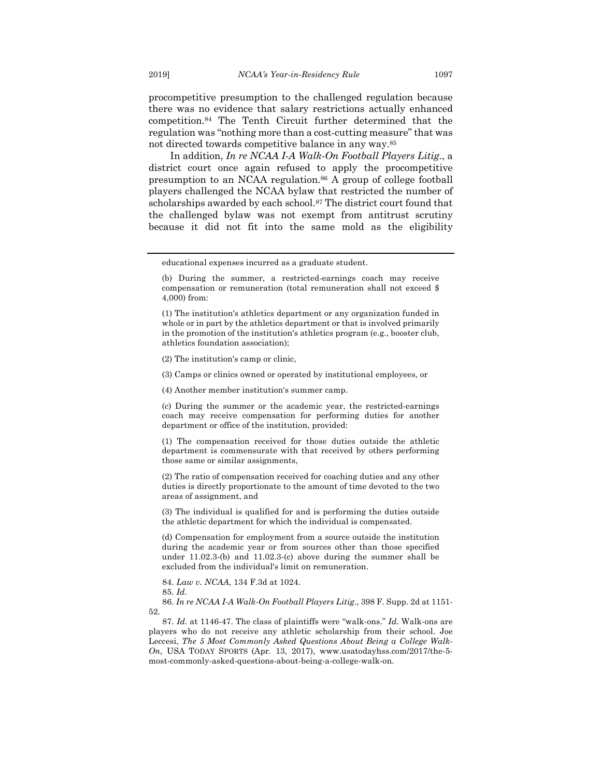procompetitive presumption to the challenged regulation because there was no evidence that salary restrictions actually enhanced competition.84 The Tenth Circuit further determined that the regulation was "nothing more than a cost-cutting measure" that was not directed towards competitive balance in any way.85

In addition, *In re NCAA I-A Walk-On Football Players Litig*., a district court once again refused to apply the procompetitive presumption to an NCAA regulation.86 A group of college football players challenged the NCAA bylaw that restricted the number of scholarships awarded by each school.87 The district court found that the challenged bylaw was not exempt from antitrust scrutiny because it did not fit into the same mold as the eligibility

(2) The institution's camp or clinic,

(3) Camps or clinics owned or operated by institutional employees, or

(4) Another member institution's summer camp.

(c) During the summer or the academic year, the restricted-earnings coach may receive compensation for performing duties for another department or office of the institution, provided:

(1) The compensation received for those duties outside the athletic department is commensurate with that received by others performing those same or similar assignments,

(2) The ratio of compensation received for coaching duties and any other duties is directly proportionate to the amount of time devoted to the two areas of assignment, and

(3) The individual is qualified for and is performing the duties outside the athletic department for which the individual is compensated.

(d) Compensation for employment from a source outside the institution during the academic year or from sources other than those specified under 11.02.3-(b) and 11.02.3-(c) above during the summer shall be excluded from the individual's limit on remuneration.

84. *Law v. NCAA*, 134 F.3d at 1024.

85. *Id.*

86. *In re NCAA I-A Walk-On Football Players Litig*., 398 F. Supp. 2d at 1151- 52.

87. *Id.* at 1146-47. The class of plaintiffs were "walk-ons." *Id.* Walk-ons are players who do not receive any athletic scholarship from their school. Joe Leccesi, *The 5 Most Commonly Asked Questions About Being a College Walk-On*, USA TODAY SPORTS (Apr. 13, 2017), www.usatodayhss.com/2017/the-5 most-commonly-asked-questions-about-being-a-college-walk-on.

educational expenses incurred as a graduate student.

<sup>(</sup>b) During the summer, a restricted-earnings coach may receive compensation or remuneration (total remuneration shall not exceed \$ 4,000) from:

<sup>(1)</sup> The institution's athletics department or any organization funded in whole or in part by the athletics department or that is involved primarily in the promotion of the institution's athletics program (e.g., booster club, athletics foundation association);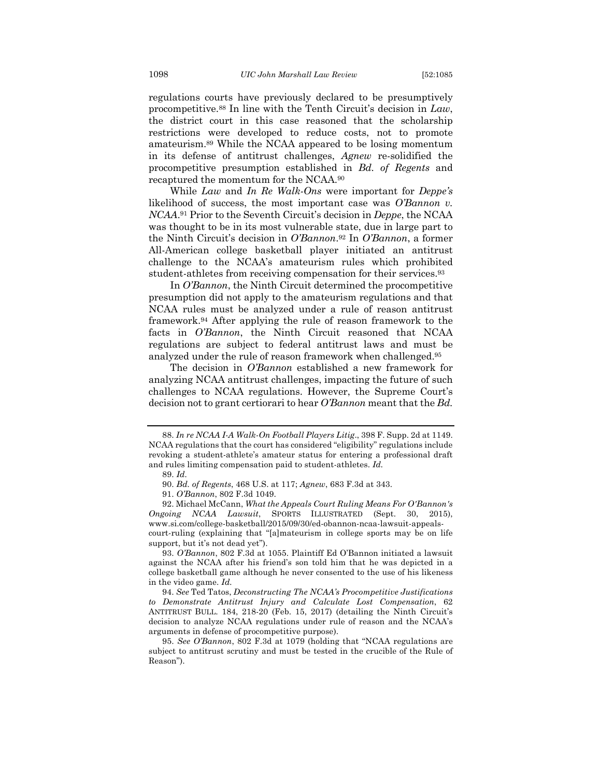regulations courts have previously declared to be presumptively procompetitive.88 In line with the Tenth Circuit's decision in *Law*, the district court in this case reasoned that the scholarship restrictions were developed to reduce costs, not to promote amateurism.89 While the NCAA appeared to be losing momentum in its defense of antitrust challenges, *Agnew* re-solidified the procompetitive presumption established in *Bd. of Regents* and recaptured the momentum for the NCAA.90

While *Law* and *In Re Walk-Ons* were important for *Deppe's* likelihood of success, the most important case was *O'Bannon v. NCAA*.91 Prior to the Seventh Circuit's decision in *Deppe*, the NCAA was thought to be in its most vulnerable state, due in large part to the Ninth Circuit's decision in *O'Bannon*.92 In *O'Bannon*, a former All-American college basketball player initiated an antitrust challenge to the NCAA's amateurism rules which prohibited student-athletes from receiving compensation for their services.93

In *O'Bannon*, the Ninth Circuit determined the procompetitive presumption did not apply to the amateurism regulations and that NCAA rules must be analyzed under a rule of reason antitrust framework.94 After applying the rule of reason framework to the facts in *O'Bannon*, the Ninth Circuit reasoned that NCAA regulations are subject to federal antitrust laws and must be analyzed under the rule of reason framework when challenged.95

The decision in *O'Bannon* established a new framework for analyzing NCAA antitrust challenges, impacting the future of such challenges to NCAA regulations. However, the Supreme Court's decision not to grant certiorari to hear *O'Bannon* meant that the *Bd.* 

92. Michael McCann, *What the Appeals Court Ruling Means For O'Bannon's Ongoing NCAA Lawsuit*, SPORTS ILLUSTRATED (Sept. 30, 2015), www.si.com/college-basketball/2015/09/30/ed-obannon-ncaa-lawsuit-appealscourt-ruling (explaining that "[a]mateurism in college sports may be on life support, but it's not dead yet").

93. *O'Bannon*, 802 F.3d at 1055. Plaintiff Ed O'Bannon initiated a lawsuit against the NCAA after his friend's son told him that he was depicted in a college basketball game although he never consented to the use of his likeness in the video game. *Id.*

94. *See* Ted Tatos, *Deconstructing The NCAA's Procompetitive Justifications to Demonstrate Antitrust Injury and Calculate Lost Compensation*, 62 ANTITRUST BULL. 184, 218-20 (Feb. 15, 2017) (detailing the Ninth Circuit's decision to analyze NCAA regulations under rule of reason and the NCAA's arguments in defense of procompetitive purpose).

<sup>88.</sup> *In re NCAA I-A Walk-On Football Players Litig*., 398 F. Supp. 2d at 1149. NCAA regulations that the court has considered "eligibility" regulations include revoking a student-athlete's amateur status for entering a professional draft and rules limiting compensation paid to student-athletes. *Id.*

<sup>89.</sup> *Id.*

<sup>90.</sup> *Bd. of Regents*, 468 U.S. at 117; *Agnew*, 683 F.3d at 343.

<sup>91.</sup> *O'Bannon*, 802 F.3d 1049.

<sup>95.</sup> *See O'Bannon*, 802 F.3d at 1079 (holding that "NCAA regulations are subject to antitrust scrutiny and must be tested in the crucible of the Rule of Reason").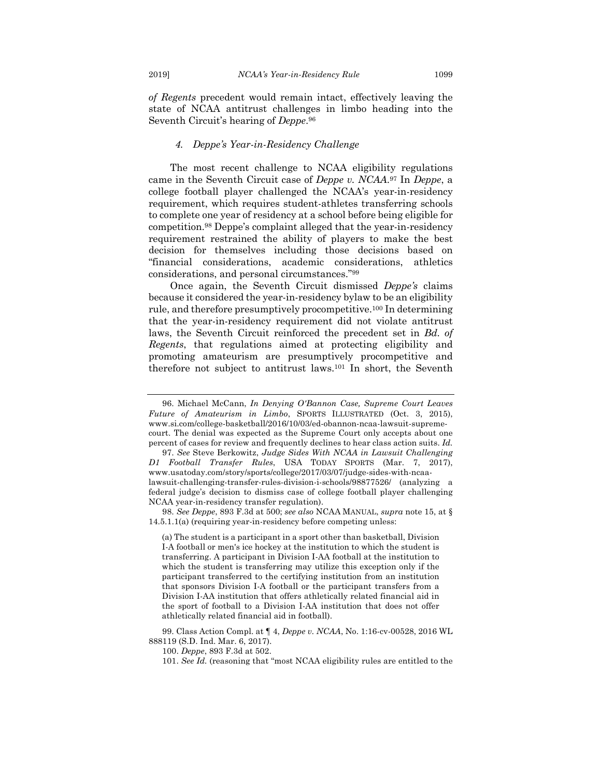*of Regents* precedent would remain intact, effectively leaving the state of NCAA antitrust challenges in limbo heading into the Seventh Circuit's hearing of *Deppe*.96

#### *4. Deppe's Year-in-Residency Challenge*

The most recent challenge to NCAA eligibility regulations came in the Seventh Circuit case of *Deppe v. NCAA*.97 In *Deppe*, a college football player challenged the NCAA's year-in-residency requirement, which requires student-athletes transferring schools to complete one year of residency at a school before being eligible for competition.98 Deppe's complaint alleged that the year-in-residency requirement restrained the ability of players to make the best decision for themselves including those decisions based on "financial considerations, academic considerations, athletics considerations, and personal circumstances."99

Once again, the Seventh Circuit dismissed *Deppe's* claims because it considered the year-in-residency bylaw to be an eligibility rule, and therefore presumptively procompetitive.100 In determining that the year-in-residency requirement did not violate antitrust laws, the Seventh Circuit reinforced the precedent set in *Bd. of Regents*, that regulations aimed at protecting eligibility and promoting amateurism are presumptively procompetitive and therefore not subject to antitrust laws.101 In short, the Seventh

98. *See Deppe*, 893 F.3d at 500; *see also* NCAA MANUAL, *supra* note 15, at § 14.5.1.1(a) (requiring year-in-residency before competing unless:

(a) The student is a participant in a sport other than basketball, Division I-A football or men's ice hockey at the institution to which the student is transferring. A participant in Division I-AA football at the institution to which the student is transferring may utilize this exception only if the participant transferred to the certifying institution from an institution that sponsors Division I-A football or the participant transfers from a Division I-AA institution that offers athletically related financial aid in the sport of football to a Division I-AA institution that does not offer athletically related financial aid in football).

99. Class Action Compl. at ¶ 4, *Deppe v. NCAA*, No. 1:16-cv-00528, 2016 WL 888119 (S.D. Ind. Mar. 6, 2017).

100. *Deppe*, 893 F.3d at 502.

<sup>96.</sup> Michael McCann, *In Denying O'Bannon Case, Supreme Court Leaves Future of Amateurism in Limbo*, SPORTS ILLUSTRATED (Oct. 3, 2015), www.si.com/college-basketball/2016/10/03/ed-obannon-ncaa-lawsuit-supremecourt. The denial was expected as the Supreme Court only accepts about one percent of cases for review and frequently declines to hear class action suits. *Id.*

<sup>97.</sup> *See* Steve Berkowitz, *Judge Sides With NCAA in Lawsuit Challenging D1 Football Transfer Rules*, USA TODAY SPORTS (Mar. 7, 2017), www.usatoday.com/story/sports/college/2017/03/07/judge-sides-with-ncaalawsuit-challenging-transfer-rules-division-i-schools/98877526/ (analyzing a federal judge's decision to dismiss case of college football player challenging NCAA year-in-residency transfer regulation).

<sup>101.</sup> *See Id.* (reasoning that "most NCAA eligibility rules are entitled to the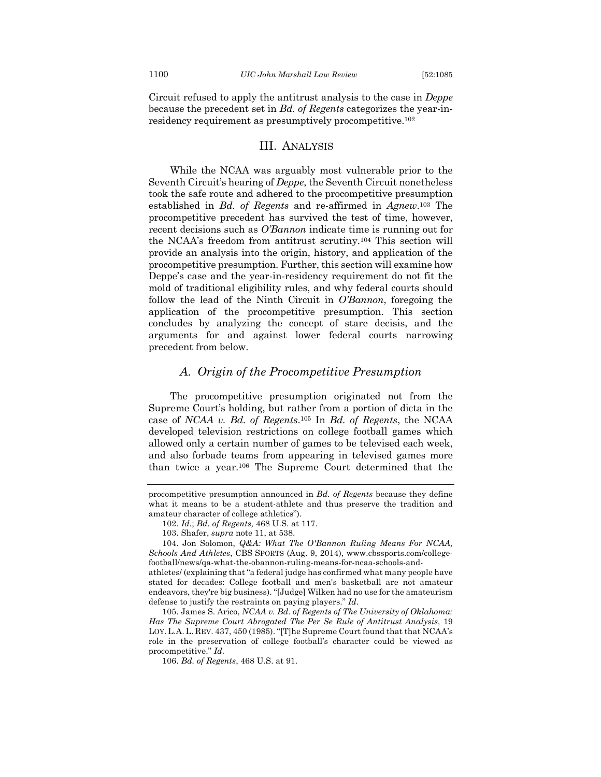Circuit refused to apply the antitrust analysis to the case in *Deppe* because the precedent set in *Bd. of Regents* categorizes the year-inresidency requirement as presumptively procompetitive.102

#### III. ANALYSIS

While the NCAA was arguably most vulnerable prior to the Seventh Circuit's hearing of *Deppe*, the Seventh Circuit nonetheless took the safe route and adhered to the procompetitive presumption established in *Bd. of Regents* and re-affirmed in *Agnew*.103 The procompetitive precedent has survived the test of time, however, recent decisions such as *O'Bannon* indicate time is running out for the NCAA's freedom from antitrust scrutiny.104 This section will provide an analysis into the origin, history, and application of the procompetitive presumption. Further, this section will examine how Deppe's case and the year-in-residency requirement do not fit the mold of traditional eligibility rules, and why federal courts should follow the lead of the Ninth Circuit in *O'Bannon*, foregoing the application of the procompetitive presumption. This section concludes by analyzing the concept of stare decisis, and the arguments for and against lower federal courts narrowing precedent from below.

## *A. Origin of the Procompetitive Presumption*

The procompetitive presumption originated not from the Supreme Court's holding, but rather from a portion of dicta in the case of *NCAA v. Bd. of Regents*.105 In *Bd. of Regents*, the NCAA developed television restrictions on college football games which allowed only a certain number of games to be televised each week, and also forbade teams from appearing in televised games more than twice a year.106 The Supreme Court determined that the

procompetitive presumption announced in *Bd. of Regents* because they define what it means to be a student-athlete and thus preserve the tradition and amateur character of college athletics").

<sup>102.</sup> *Id.*; *Bd. of Regents,* 468 U.S. at 117.

<sup>103.</sup> Shafer, *supra* note 11, at 538.

<sup>104.</sup> Jon Solomon, *Q&A: What The O'Bannon Ruling Means For NCAA, Schools And Athletes*, CBS SPORTS (Aug. 9, 2014), www.cbssports.com/collegefootball/news/qa-what-the-obannon-ruling-means-for-ncaa-schools-and-

athletes/ (explaining that "a federal judge has confirmed what many people have stated for decades: College football and men's basketball are not amateur endeavors, they're big business). "[Judge] Wilken had no use for the amateurism defense to justify the restraints on paying players." *Id.*

<sup>105.</sup> James S. Arico, *NCAA v. Bd. of Regents of The University of Oklahoma: Has The Supreme Court Abrogated The Per Se Rule of Antitrust Analysis,* 19 LOY. L.A. L. REV. 437, 450 (1985). "[T]he Supreme Court found that that NCAA's role in the preservation of college football's character could be viewed as procompetitive." *Id.*

<sup>106.</sup> *Bd. of Regents*, 468 U.S. at 91.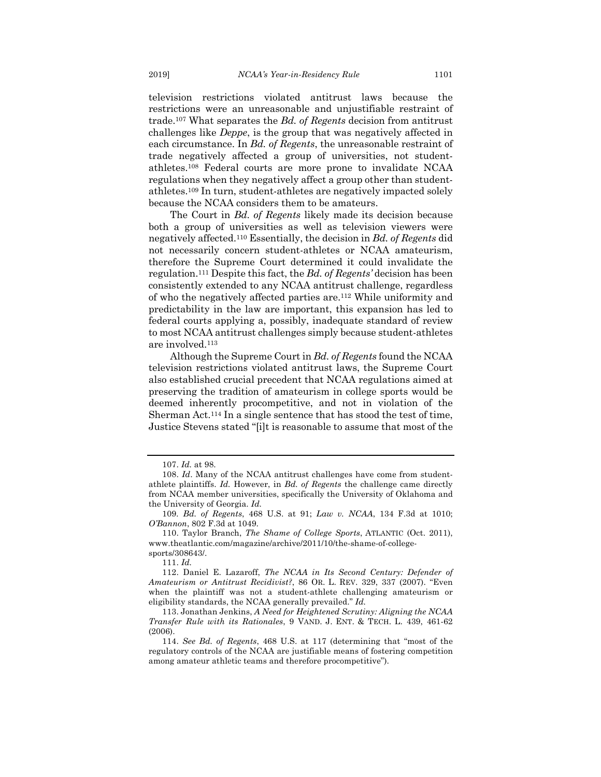television restrictions violated antitrust laws because the restrictions were an unreasonable and unjustifiable restraint of trade.107 What separates the *Bd. of Regents* decision from antitrust challenges like *Deppe*, is the group that was negatively affected in each circumstance. In *Bd. of Regents*, the unreasonable restraint of trade negatively affected a group of universities, not studentathletes.108 Federal courts are more prone to invalidate NCAA regulations when they negatively affect a group other than studentathletes.109 In turn, student-athletes are negatively impacted solely because the NCAA considers them to be amateurs.

The Court in *Bd. of Regents* likely made its decision because both a group of universities as well as television viewers were negatively affected.110 Essentially, the decision in *Bd. of Regents* did not necessarily concern student-athletes or NCAA amateurism, therefore the Supreme Court determined it could invalidate the regulation.111 Despite this fact, the *Bd. of Regents'* decision has been consistently extended to any NCAA antitrust challenge, regardless of who the negatively affected parties are.112 While uniformity and predictability in the law are important, this expansion has led to federal courts applying a, possibly, inadequate standard of review to most NCAA antitrust challenges simply because student-athletes are involved.113

Although the Supreme Court in *Bd. of Regents* found the NCAA television restrictions violated antitrust laws, the Supreme Court also established crucial precedent that NCAA regulations aimed at preserving the tradition of amateurism in college sports would be deemed inherently procompetitive, and not in violation of the Sherman Act.114 In a single sentence that has stood the test of time, Justice Stevens stated "[i]t is reasonable to assume that most of the

<sup>107.</sup> *Id.* at 98.

<sup>108.</sup> *Id*. Many of the NCAA antitrust challenges have come from studentathlete plaintiffs. *Id.* However, in *Bd. of Regents* the challenge came directly from NCAA member universities, specifically the University of Oklahoma and the University of Georgia. *Id.*

<sup>109</sup>*. Bd. of Regents*, 468 U.S. at 91; *Law v. NCAA*, 134 F.3d at 1010; *O'Bannon*, 802 F.3d at 1049.

<sup>110.</sup> Taylor Branch, *The Shame of College Sports*, ATLANTIC (Oct. 2011), www.theatlantic.com/magazine/archive/2011/10/the-shame-of-collegesports/308643/.

<sup>111.</sup> *Id.*

<sup>112.</sup> Daniel E. Lazaroff, *The NCAA in Its Second Century: Defender of Amateurism or Antitrust Recidivist?*, 86 OR. L. REV. 329, 337 (2007). "Even when the plaintiff was not a student-athlete challenging amateurism or eligibility standards, the NCAA generally prevailed." *Id.*

<sup>113.</sup> Jonathan Jenkins, *A Need for Heightened Scrutiny: Aligning the NCAA Transfer Rule with its Rationales*, 9 VAND. J. ENT. & TECH. L. 439, 461-62 (2006).

<sup>114.</sup> *See Bd. of Regents*, 468 U.S. at 117 (determining that "most of the regulatory controls of the NCAA are justifiable means of fostering competition among amateur athletic teams and therefore procompetitive").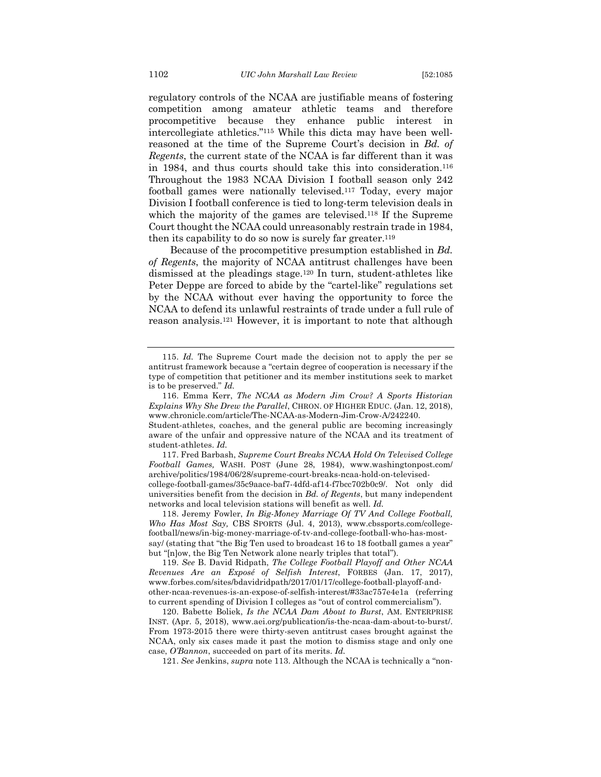regulatory controls of the NCAA are justifiable means of fostering competition among amateur athletic teams and therefore procompetitive because they enhance public interest in intercollegiate athletics."115 While this dicta may have been wellreasoned at the time of the Supreme Court's decision in *Bd. of Regents*, the current state of the NCAA is far different than it was in 1984, and thus courts should take this into consideration.116 Throughout the 1983 NCAA Division I football season only 242 football games were nationally televised.117 Today, every major Division I football conference is tied to long-term television deals in which the majority of the games are televised.<sup>118</sup> If the Supreme Court thought the NCAA could unreasonably restrain trade in 1984, then its capability to do so now is surely far greater.119

Because of the procompetitive presumption established in *Bd. of Regents*, the majority of NCAA antitrust challenges have been dismissed at the pleadings stage.120 In turn, student-athletes like Peter Deppe are forced to abide by the "cartel-like" regulations set by the NCAA without ever having the opportunity to force the NCAA to defend its unlawful restraints of trade under a full rule of reason analysis.121 However, it is important to note that although

student-athletes. *Id.* 117. Fred Barbash, *Supreme Court Breaks NCAA Hold On Televised College Football Games,* WASH. POST (June 28, 1984), www.washingtonpost.com/ archive/politics/1984/06/28/supreme-court-breaks-ncaa-hold-on-televisedcollege-football-games/35c9aace-baf7-4dfd-af14-f7bcc702b0c9/. Not only did universities benefit from the decision in *Bd. of Regents*, but many independent networks and local television stations will benefit as well. *Id.*

118. Jeremy Fowler, *In Big-Money Marriage Of TV And College Football, Who Has Most Say,* CBS SPORTS (Jul. 4, 2013), www.cbssports.com/collegefootball/news/in-big-money-marriage-of-tv-and-college-football-who-has-mostsay/ (stating that "the Big Ten used to broadcast 16 to 18 football games a year" but "[n]ow, the Big Ten Network alone nearly triples that total").

119. *See* B. David Ridpath, *The College Football Playoff and Other NCAA Revenues Are an Exposé of Selfish Interest*, FORBES (Jan. 17, 2017), www.forbes.com/sites/bdavidridpath/2017/01/17/college-football-playoff-andother-ncaa-revenues-is-an-expose-of-selfish-interest/#33ac757e4e1a (referring to current spending of Division I colleges as "out of control commercialism").

120. Babette Boliek, *Is the NCAA Dam About to Burst*, AM. ENTERPRISE INST. (Apr. 5, 2018), www.aei.org/publication/is-the-ncaa-dam-about-to-burst/. From 1973-2015 there were thirty-seven antitrust cases brought against the NCAA, only six cases made it past the motion to dismiss stage and only one case, *O'Bannon*, succeeded on part of its merits. *Id.*

121. *See* Jenkins, *supra* note 113. Although the NCAA is technically a "non-

<sup>115.</sup> *Id.* The Supreme Court made the decision not to apply the per se antitrust framework because a "certain degree of cooperation is necessary if the type of competition that petitioner and its member institutions seek to market is to be preserved." *Id.*

<sup>116.</sup> Emma Kerr, *The NCAA as Modern Jim Crow? A Sports Historian Explains Why She Drew the Parallel*, CHRON. OF HIGHER EDUC. (Jan. 12, 2018), www.chronicle.com/article/The-NCAA-as-Modern-Jim-Crow-A/242240. Student-athletes, coaches, and the general public are becoming increasingly aware of the unfair and oppressive nature of the NCAA and its treatment of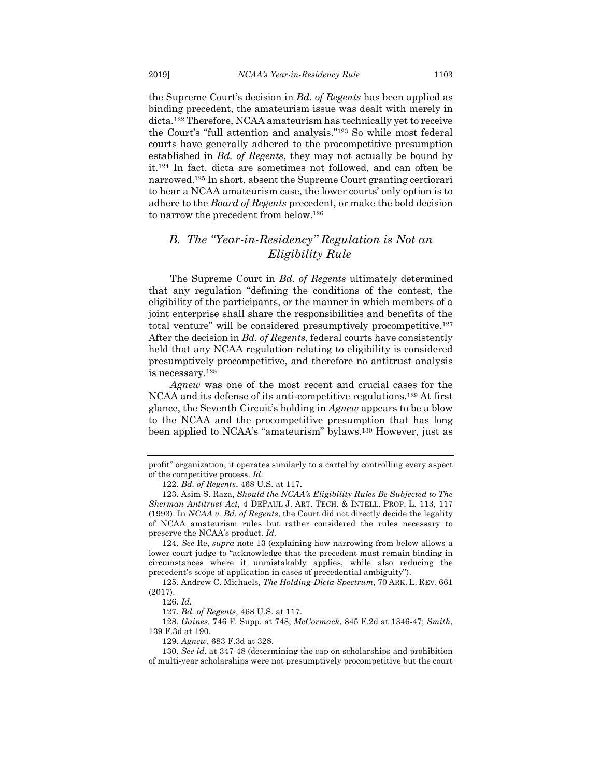the Supreme Court's decision in *Bd. of Regents* has been applied as binding precedent, the amateurism issue was dealt with merely in dicta.122 Therefore, NCAA amateurism has technically yet to receive the Court's "full attention and analysis."123 So while most federal courts have generally adhered to the procompetitive presumption established in *Bd. of Regents*, they may not actually be bound by it.124 In fact, dicta are sometimes not followed, and can often be narrowed.125 In short, absent the Supreme Court granting certiorari

to hear a NCAA amateurism case, the lower courts' only option is to adhere to the *Board of Regents* precedent, or make the bold decision to narrow the precedent from below.126

## *B. The "Year-in-Residency" Regulation is Not an Eligibility Rule*

The Supreme Court in *Bd. of Regents* ultimately determined that any regulation "defining the conditions of the contest, the eligibility of the participants, or the manner in which members of a joint enterprise shall share the responsibilities and benefits of the total venture" will be considered presumptively procompetitive.127 After the decision in *Bd. of Regents*, federal courts have consistently held that any NCAA regulation relating to eligibility is considered presumptively procompetitive, and therefore no antitrust analysis is necessary.128

*Agnew* was one of the most recent and crucial cases for the NCAA and its defense of its anti-competitive regulations.129 At first glance, the Seventh Circuit's holding in *Agnew* appears to be a blow to the NCAA and the procompetitive presumption that has long been applied to NCAA's "amateurism" bylaws.130 However, just as

124. *See* Re, *supra* note 13 (explaining how narrowing from below allows a lower court judge to "acknowledge that the precedent must remain binding in circumstances where it unmistakably applies, while also reducing the precedent's scope of application in cases of precedential ambiguity").

125. Andrew C. Michaels, *The Holding-Dicta Spectrum*, 70 ARK. L. REV. 661 (2017).

127. *Bd. of Regents*, 468 U.S. at 117.

128. *Gaines,* 746 F. Supp. at 748; *McCormack*, 845 F.2d at 1346-47; *Smith*, 139 F.3d at 190.

129. *Agnew*, 683 F.3d at 328.

130. *See id.* at 347-48 (determining the cap on scholarships and prohibition of multi-year scholarships were not presumptively procompetitive but the court

profit" organization, it operates similarly to a cartel by controlling every aspect of the competitive process. *Id.*

<sup>122.</sup> *Bd. of Regents*, 468 U.S. at 117.

<sup>123.</sup> Asim S. Raza, *Should the NCAA's Eligibility Rules Be Subjected to The Sherman Antitrust Act*, 4 DEPAUL J. ART. TECH. & INTELL. PROP. L. 113, 117 (1993). In *NCAA v. Bd. of Regents*, the Court did not directly decide the legality of NCAA amateurism rules but rather considered the rules necessary to preserve the NCAA's product. *Id.* 

<sup>126.</sup> *Id.*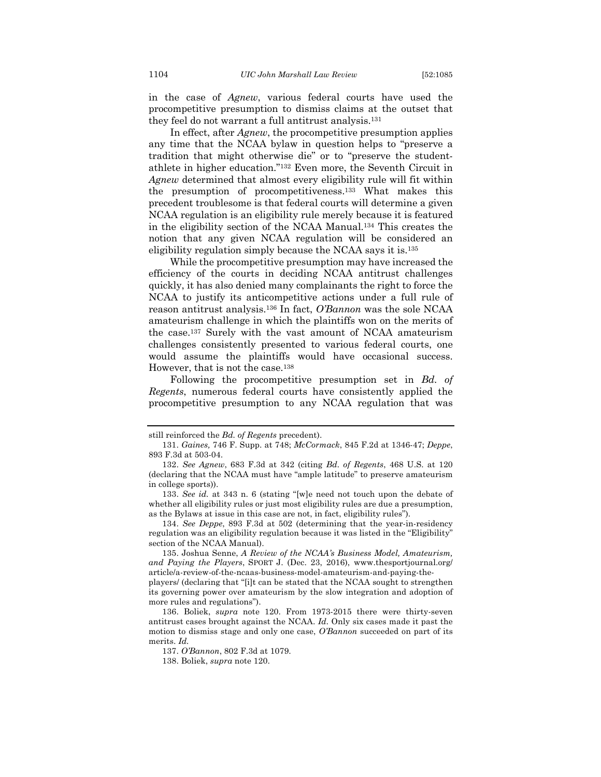in the case of *Agnew*, various federal courts have used the procompetitive presumption to dismiss claims at the outset that they feel do not warrant a full antitrust analysis.131

In effect, after *Agnew*, the procompetitive presumption applies any time that the NCAA bylaw in question helps to "preserve a tradition that might otherwise die" or to "preserve the studentathlete in higher education."132 Even more, the Seventh Circuit in *Agnew* determined that almost every eligibility rule will fit within the presumption of procompetitiveness.133 What makes this precedent troublesome is that federal courts will determine a given NCAA regulation is an eligibility rule merely because it is featured in the eligibility section of the NCAA Manual.134 This creates the notion that any given NCAA regulation will be considered an eligibility regulation simply because the NCAA says it is.135

While the procompetitive presumption may have increased the efficiency of the courts in deciding NCAA antitrust challenges quickly, it has also denied many complainants the right to force the NCAA to justify its anticompetitive actions under a full rule of reason antitrust analysis.136 In fact, *O'Bannon* was the sole NCAA amateurism challenge in which the plaintiffs won on the merits of the case.137 Surely with the vast amount of NCAA amateurism challenges consistently presented to various federal courts, one would assume the plaintiffs would have occasional success. However, that is not the case.138

Following the procompetitive presumption set in *Bd. of Regents*, numerous federal courts have consistently applied the procompetitive presumption to any NCAA regulation that was

still reinforced the *Bd. of Regents* precedent).

<sup>131.</sup> *Gaines,* 746 F. Supp. at 748; *McCormack*, 845 F.2d at 1346-47; *Deppe*, 893 F.3d at 503-04.

<sup>132.</sup> *See Agnew*, 683 F.3d at 342 (citing *Bd. of Regents*, 468 U.S. at 120 (declaring that the NCAA must have "ample latitude" to preserve amateurism in college sports)).

<sup>133.</sup> *See id.* at 343 n. 6 (stating "[w]e need not touch upon the debate of whether all eligibility rules or just most eligibility rules are due a presumption, as the Bylaws at issue in this case are not, in fact, eligibility rules").

<sup>134.</sup> *See Deppe*, 893 F.3d at 502 (determining that the year-in-residency regulation was an eligibility regulation because it was listed in the "Eligibility" section of the NCAA Manual).

<sup>135.</sup> Joshua Senne, *A Review of the NCAA's Business Model, Amateurism, and Paying the Players*, SPORT J. (Dec. 23, 2016), www.thesportjournal.org/ article/a-review-of-the-ncaas-business-model-amateurism-and-paying-the-

players/ (declaring that "[i]t can be stated that the NCAA sought to strengthen its governing power over amateurism by the slow integration and adoption of more rules and regulations").

<sup>136.</sup> Boliek, *supra* note 120. From 1973-2015 there were thirty-seven antitrust cases brought against the NCAA. *Id.* Only six cases made it past the motion to dismiss stage and only one case, *O'Bannon* succeeded on part of its merits. *Id.*

<sup>137.</sup> *O'Bannon*, 802 F.3d at 1079.

<sup>138.</sup> Boliek, *supra* note 120.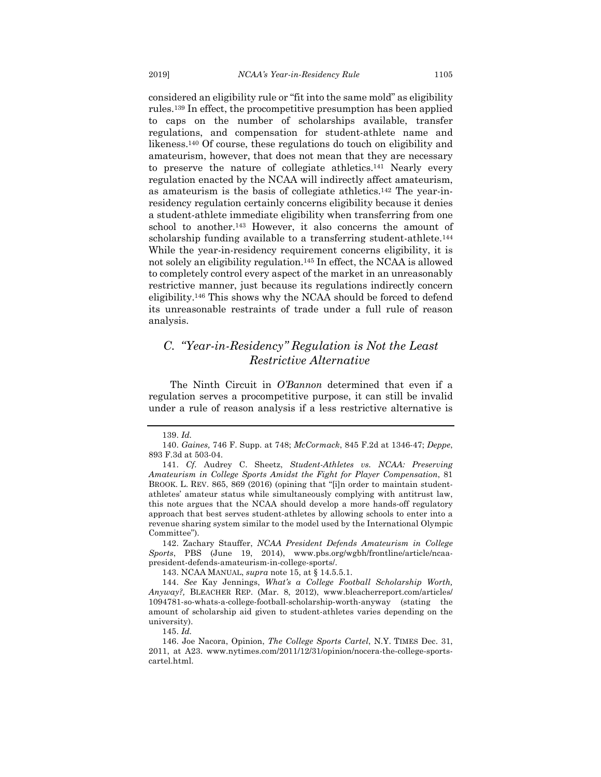considered an eligibility rule or "fit into the same mold" as eligibility rules.139 In effect, the procompetitive presumption has been applied to caps on the number of scholarships available, transfer regulations, and compensation for student-athlete name and likeness.140 Of course, these regulations do touch on eligibility and amateurism, however, that does not mean that they are necessary to preserve the nature of collegiate athletics.141 Nearly every regulation enacted by the NCAA will indirectly affect amateurism, as amateurism is the basis of collegiate athletics.142 The year-inresidency regulation certainly concerns eligibility because it denies a student-athlete immediate eligibility when transferring from one school to another.143 However, it also concerns the amount of scholarship funding available to a transferring student-athlete.<sup>144</sup> While the year-in-residency requirement concerns eligibility, it is not solely an eligibility regulation.145 In effect, the NCAA is allowed to completely control every aspect of the market in an unreasonably restrictive manner, just because its regulations indirectly concern eligibility.146 This shows why the NCAA should be forced to defend its unreasonable restraints of trade under a full rule of reason analysis.

## *C. "Year-in-Residency" Regulation is Not the Least Restrictive Alternative*

The Ninth Circuit in *O'Bannon* determined that even if a regulation serves a procompetitive purpose, it can still be invalid under a rule of reason analysis if a less restrictive alternative is

<sup>139.</sup> *Id.*

<sup>140.</sup> *Gaines,* 746 F. Supp. at 748; *McCormack*, 845 F.2d at 1346-47; *Deppe*, 893 F.3d at 503-04.

<sup>141.</sup> *Cf.* Audrey C. Sheetz, *Student-Athletes vs. NCAA: Preserving Amateurism in College Sports Amidst the Fight for Player Compensation*, 81 BROOK. L. REV. 865, 869 (2016) (opining that "[i]n order to maintain studentathletes' amateur status while simultaneously complying with antitrust law, this note argues that the NCAA should develop a more hands-off regulatory approach that best serves student-athletes by allowing schools to enter into a revenue sharing system similar to the model used by the International Olympic Committee").

<sup>142.</sup> Zachary Stauffer, *NCAA President Defends Amateurism in College Sports*, PBS (June 19, 2014), www.pbs.org/wgbh/frontline/article/ncaapresident-defends-amateurism-in-college-sports/.

<sup>143.</sup> NCAA MANUAL, *supra* note 15, at § 14.5.5.1.

<sup>144.</sup> *See* Kay Jennings, *What's a College Football Scholarship Worth, Anyway?,* BLEACHER REP. (Mar. 8, 2012), www.bleacherreport.com/articles/ 1094781-so-whats-a-college-football-scholarship-worth-anyway (stating the amount of scholarship aid given to student-athletes varies depending on the university).

<sup>145.</sup> *Id.*

<sup>146.</sup> Joe Nacora, Opinion, *The College Sports Cartel*, N.Y. TIMES Dec. 31, 2011, at A23. www.nytimes.com/2011/12/31/opinion/nocera-the-college-sportscartel.html.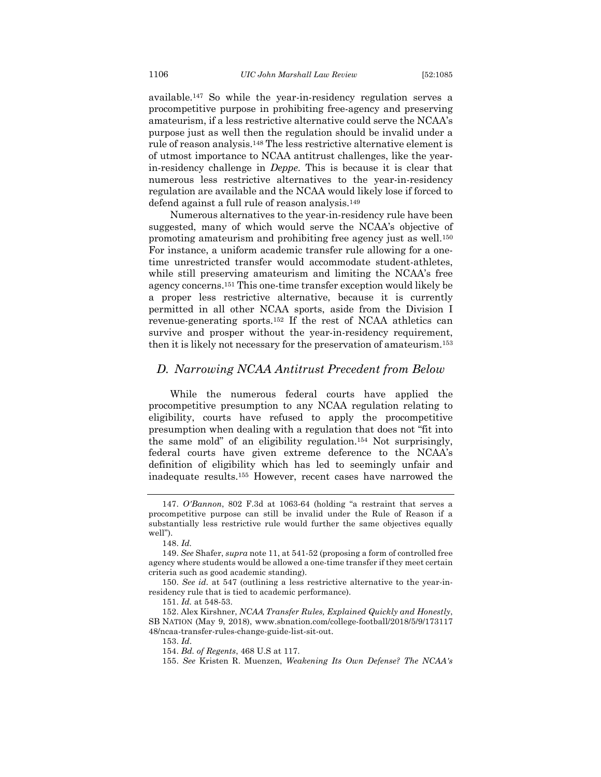available.147 So while the year-in-residency regulation serves a procompetitive purpose in prohibiting free-agency and preserving amateurism, if a less restrictive alternative could serve the NCAA's purpose just as well then the regulation should be invalid under a rule of reason analysis.148 The less restrictive alternative element is of utmost importance to NCAA antitrust challenges, like the yearin-residency challenge in *Deppe*. This is because it is clear that numerous less restrictive alternatives to the year-in-residency regulation are available and the NCAA would likely lose if forced to defend against a full rule of reason analysis.149

Numerous alternatives to the year-in-residency rule have been suggested, many of which would serve the NCAA's objective of promoting amateurism and prohibiting free agency just as well.150 For instance, a uniform academic transfer rule allowing for a onetime unrestricted transfer would accommodate student-athletes, while still preserving amateurism and limiting the NCAA's free agency concerns.151 This one-time transfer exception would likely be a proper less restrictive alternative, because it is currently permitted in all other NCAA sports, aside from the Division I revenue-generating sports.152 If the rest of NCAA athletics can survive and prosper without the year-in-residency requirement, then it is likely not necessary for the preservation of amateurism.153

## *D. Narrowing NCAA Antitrust Precedent from Below*

While the numerous federal courts have applied the procompetitive presumption to any NCAA regulation relating to eligibility, courts have refused to apply the procompetitive presumption when dealing with a regulation that does not "fit into the same mold" of an eligibility regulation.154 Not surprisingly, federal courts have given extreme deference to the NCAA's definition of eligibility which has led to seemingly unfair and inadequate results.155 However, recent cases have narrowed the

<sup>147.</sup> *O'Bannon*, 802 F.3d at 1063-64 (holding "a restraint that serves a procompetitive purpose can still be invalid under the Rule of Reason if a substantially less restrictive rule would further the same objectives equally well").

<sup>148.</sup> *Id.*

<sup>149.</sup> *See* Shafer, *supra* note 11, at 541-52 (proposing a form of controlled free agency where students would be allowed a one-time transfer if they meet certain criteria such as good academic standing).

<sup>150.</sup> *See id.* at 547 (outlining a less restrictive alternative to the year-inresidency rule that is tied to academic performance).

<sup>151.</sup> *Id.* at 548-53.

<sup>152.</sup> Alex Kirshner, *NCAA Transfer Rules, Explained Quickly and Honestly*, SB NATION (May 9, 2018), www.sbnation.com/college-football/2018/5/9/173117 48/ncaa-transfer-rules-change-guide-list-sit-out.

<sup>153.</sup> *Id*.

<sup>154.</sup> *Bd. of Regents*, 468 U.S at 117.

<sup>155.</sup> *See* Kristen R. Muenzen, *Weakening Its Own Defense? The NCAA's*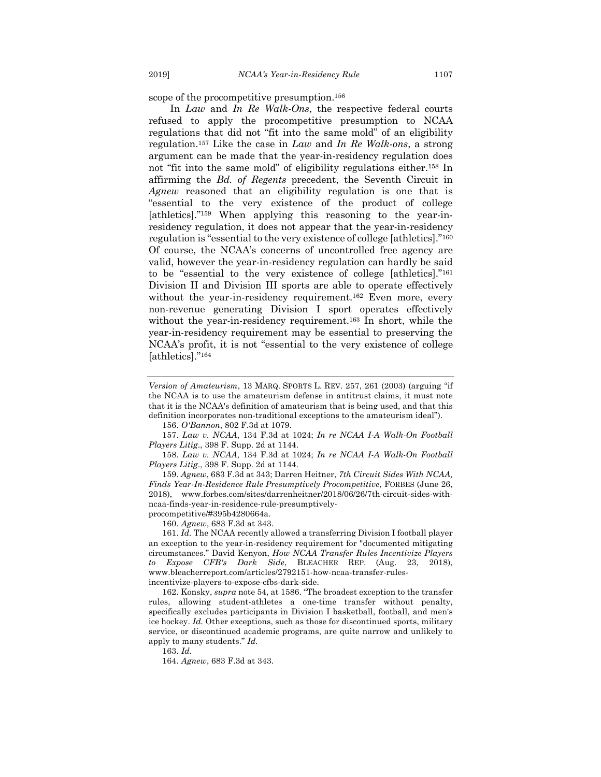scope of the procompetitive presumption.156

In *Law* and *In Re Walk-Ons*, the respective federal courts refused to apply the procompetitive presumption to NCAA regulations that did not "fit into the same mold" of an eligibility regulation.157 Like the case in *Law* and *In Re Walk-ons*, a strong argument can be made that the year-in-residency regulation does not "fit into the same mold" of eligibility regulations either.158 In affirming the *Bd. of Regents* precedent, the Seventh Circuit in *Agnew* reasoned that an eligibility regulation is one that is "essential to the very existence of the product of college [athletics]."159 When applying this reasoning to the year-inresidency regulation, it does not appear that the year-in-residency regulation is "essential to the very existence of college [athletics]."160 Of course, the NCAA's concerns of uncontrolled free agency are valid, however the year-in-residency regulation can hardly be said to be "essential to the very existence of college [athletics]."161 Division II and Division III sports are able to operate effectively without the year-in-residency requirement.<sup>162</sup> Even more, every non-revenue generating Division I sport operates effectively without the year-in-residency requirement.163 In short, while the year-in-residency requirement may be essential to preserving the NCAA's profit, it is not "essential to the very existence of college [athletics]."164

156. *O'Bannon*, 802 F.3d at 1079.

157. *Law v. NCAA*, 134 F.3d at 1024; *In re NCAA I-A Walk-On Football Players Litig*., 398 F. Supp. 2d at 1144.

158. *Law v. NCAA*, 134 F.3d at 1024; *In re NCAA I-A Walk-On Football Players Litig*., 398 F. Supp. 2d at 1144.

159. *Agnew*, 683 F.3d at 343; Darren Heitner, *7th Circuit Sides With NCAA, Finds Year-In-Residence Rule Presumptively Procompetitive*, FORBES (June 26, 2018), www.forbes.com/sites/darrenheitner/2018/06/26/7th-circuit-sides-withncaa-finds-year-in-residence-rule-presumptivelyprocompetitive/#395b4280664a.

160. *Agnew*, 683 F.3d at 343.

161. *Id.* The NCAA recently allowed a transferring Division I football player an exception to the year-in-residency requirement for "documented mitigating circumstances." David Kenyon, *How NCAA Transfer Rules Incentivize Players to Expose CFB's Dark Side*, BLEACHER REP. (Aug. 23, 2018), www.bleacherreport.com/articles/2792151-how-ncaa-transfer-rules-

incentivize-players-to-expose-cfbs-dark-side.

162. Konsky, *supra* note 54, at 1586. "The broadest exception to the transfer rules, allowing student-athletes a one-time transfer without penalty, specifically excludes participants in Division I basketball, football, and men's ice hockey. *Id.* Other exceptions, such as those for discontinued sports, military service, or discontinued academic programs, are quite narrow and unlikely to apply to many students." *Id.*

163. *Id.*

164. *Agnew*, 683 F.3d at 343.

*Version of Amateurism*, 13 MARQ. SPORTS L. REV. 257, 261 (2003) (arguing "if the NCAA is to use the amateurism defense in antitrust claims, it must note that it is the NCAA's definition of amateurism that is being used, and that this definition incorporates non-traditional exceptions to the amateurism ideal").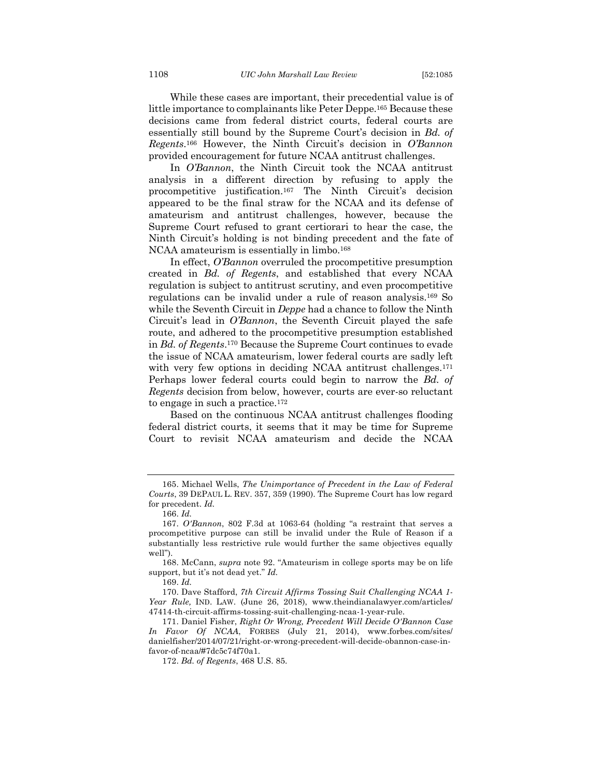While these cases are important, their precedential value is of little importance to complainants like Peter Deppe.165 Because these decisions came from federal district courts, federal courts are essentially still bound by the Supreme Court's decision in *Bd. of Regents*.166 However, the Ninth Circuit's decision in *O'Bannon* provided encouragement for future NCAA antitrust challenges.

In *O'Bannon*, the Ninth Circuit took the NCAA antitrust analysis in a different direction by refusing to apply the procompetitive justification.167 The Ninth Circuit's decision appeared to be the final straw for the NCAA and its defense of amateurism and antitrust challenges, however, because the Supreme Court refused to grant certiorari to hear the case, the Ninth Circuit's holding is not binding precedent and the fate of NCAA amateurism is essentially in limbo.168

In effect, *O'Bannon* overruled the procompetitive presumption created in *Bd. of Regents*, and established that every NCAA regulation is subject to antitrust scrutiny, and even procompetitive regulations can be invalid under a rule of reason analysis.169 So while the Seventh Circuit in *Deppe* had a chance to follow the Ninth Circuit's lead in *O'Bannon*, the Seventh Circuit played the safe route, and adhered to the procompetitive presumption established in *Bd. of Regents*.170 Because the Supreme Court continues to evade the issue of NCAA amateurism, lower federal courts are sadly left with very few options in deciding NCAA antitrust challenges.<sup>171</sup> Perhaps lower federal courts could begin to narrow the *Bd. of Regents* decision from below, however, courts are ever-so reluctant to engage in such a practice.172

Based on the continuous NCAA antitrust challenges flooding federal district courts, it seems that it may be time for Supreme Court to revisit NCAA amateurism and decide the NCAA

<sup>165.</sup> Michael Wells, *The Unimportance of Precedent in the Law of Federal Courts*, 39 DEPAUL L. REV. 357, 359 (1990). The Supreme Court has low regard for precedent. *Id.*

<sup>166.</sup> *Id.*

<sup>167.</sup> *O'Bannon*, 802 F.3d at 1063-64 (holding "a restraint that serves a procompetitive purpose can still be invalid under the Rule of Reason if a substantially less restrictive rule would further the same objectives equally well").

<sup>168.</sup> McCann, *supra* note 92. "Amateurism in college sports may be on life support, but it's not dead yet." *Id.*

<sup>169.</sup> *Id.*

<sup>170.</sup> Dave Stafford, *7th Circuit Affirms Tossing Suit Challenging NCAA 1- Year Rule,* IND. LAW. (June 26, 2018), www.theindianalawyer.com/articles/ 47414-th-circuit-affirms-tossing-suit-challenging-ncaa-1-year-rule.

<sup>171.</sup> Daniel Fisher, *Right Or Wrong, Precedent Will Decide O'Bannon Case In Favor Of NCAA*, FORBES (July 21, 2014), www.forbes.com/sites/ danielfisher/2014/07/21/right-or-wrong-precedent-will-decide-obannon-case-infavor-of-ncaa/#7dc5c74f70a1.

<sup>172.</sup> *Bd. of Regents*, 468 U.S. 85.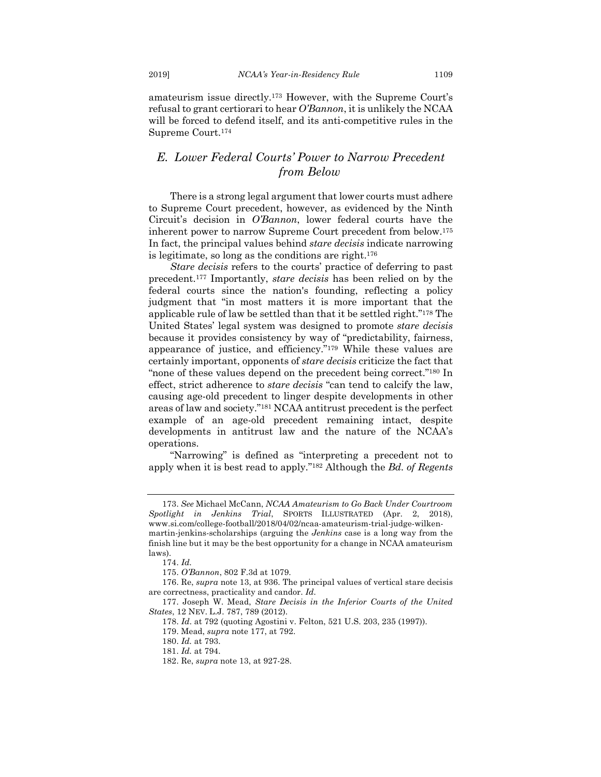amateurism issue directly.173 However, with the Supreme Court's refusal to grant certiorari to hear *O'Bannon*, it is unlikely the NCAA will be forced to defend itself, and its anti-competitive rules in the Supreme Court.174

## *E. Lower Federal Courts' Power to Narrow Precedent from Below*

There is a strong legal argument that lower courts must adhere to Supreme Court precedent, however, as evidenced by the Ninth Circuit's decision in *O'Bannon*, lower federal courts have the inherent power to narrow Supreme Court precedent from below.175 In fact, the principal values behind *stare decisis* indicate narrowing is legitimate, so long as the conditions are right.176

*Stare decisis* refers to the courts' practice of deferring to past precedent.177 Importantly, *stare decisis* has been relied on by the federal courts since the nation's founding, reflecting a policy judgment that "in most matters it is more important that the applicable rule of law be settled than that it be settled right."178 The United States' legal system was designed to promote *stare decisis* because it provides consistency by way of "predictability, fairness, appearance of justice, and efficiency."179 While these values are certainly important, opponents of *stare decisis* criticize the fact that "none of these values depend on the precedent being correct."180 In effect, strict adherence to *stare decisis* "can tend to calcify the law, causing age-old precedent to linger despite developments in other areas of law and society."181 NCAA antitrust precedent is the perfect example of an age-old precedent remaining intact, despite developments in antitrust law and the nature of the NCAA's operations.

"Narrowing" is defined as "interpreting a precedent not to apply when it is best read to apply."182 Although the *Bd. of Regents*

<sup>173.</sup> *See* Michael McCann, *NCAA Amateurism to Go Back Under Courtroom Spotlight in Jenkins Trial*, SPORTS ILLUSTRATED (Apr. 2, 2018), www.si.com/college-football/2018/04/02/ncaa-amateurism-trial-judge-wilkenmartin-jenkins-scholarships (arguing the *Jenkins* case is a long way from the finish line but it may be the best opportunity for a change in NCAA amateurism laws).

<sup>174.</sup> *Id.*

<sup>175.</sup> *O'Bannon*, 802 F.3d at 1079.

<sup>176.</sup> Re, *supra* note 13, at 936. The principal values of vertical stare decisis are correctness, practicality and candor. *Id.*

<sup>177.</sup> Joseph W. Mead, *Stare Decisis in the Inferior Courts of the United States*, 12 NEV. L.J. 787, 789 (2012).

<sup>178.</sup> *Id*. at 792 (quoting Agostini v. Felton, 521 U.S. 203, 235 (1997)).

<sup>179.</sup> Mead, *supra* note 177, at 792.

<sup>180.</sup> *Id.* at 793.

<sup>181.</sup> *Id.* at 794.

<sup>182.</sup> Re, *supra* note 13, at 927-28.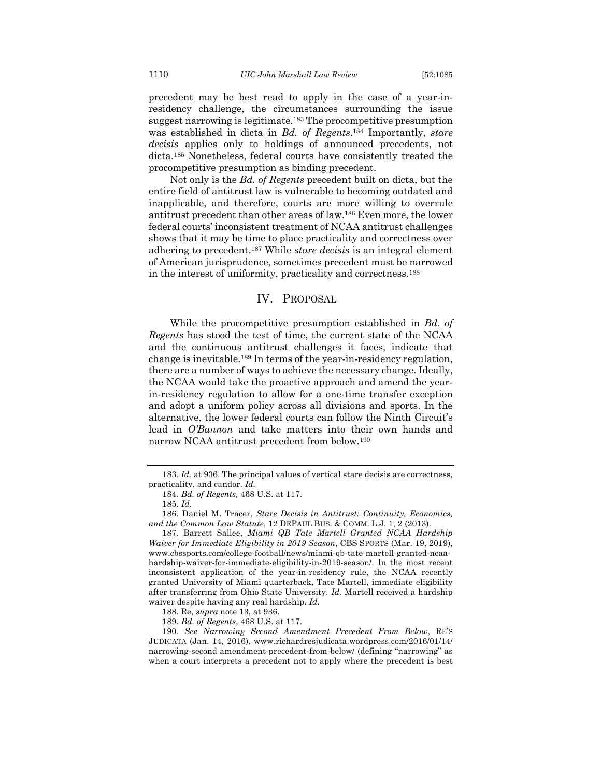precedent may be best read to apply in the case of a year-inresidency challenge, the circumstances surrounding the issue suggest narrowing is legitimate.183 The procompetitive presumption was established in dicta in *Bd. of Regents*.184 Importantly, *stare decisis* applies only to holdings of announced precedents, not dicta.185 Nonetheless, federal courts have consistently treated the procompetitive presumption as binding precedent.

Not only is the *Bd. of Regents* precedent built on dicta, but the entire field of antitrust law is vulnerable to becoming outdated and inapplicable, and therefore, courts are more willing to overrule antitrust precedent than other areas of law.186 Even more, the lower federal courts' inconsistent treatment of NCAA antitrust challenges shows that it may be time to place practicality and correctness over adhering to precedent.187 While *stare decisis* is an integral element of American jurisprudence, sometimes precedent must be narrowed in the interest of uniformity, practicality and correctness.188

### IV. PROPOSAL

While the procompetitive presumption established in *Bd. of Regents* has stood the test of time, the current state of the NCAA and the continuous antitrust challenges it faces, indicate that change is inevitable.189 In terms of the year-in-residency regulation, there are a number of ways to achieve the necessary change. Ideally, the NCAA would take the proactive approach and amend the yearin-residency regulation to allow for a one-time transfer exception and adopt a uniform policy across all divisions and sports. In the alternative, the lower federal courts can follow the Ninth Circuit's lead in *O'Bannon* and take matters into their own hands and narrow NCAA antitrust precedent from below.190

189. *Bd. of Regents*, 468 U.S. at 117.

190. *See Narrowing Second Amendment Precedent From Below*, RE'S JUDICATA (Jan. 14, 2016), www.richardresjudicata.wordpress.com/2016/01/14/ narrowing-second-amendment-precedent-from-below/ (defining "narrowing" as when a court interprets a precedent not to apply where the precedent is best

<sup>183.</sup> *Id.* at 936. The principal values of vertical stare decisis are correctness, practicality, and candor. *Id.*

<sup>184.</sup> *Bd. of Regents,* 468 U.S. at 117.

<sup>185.</sup> *Id.*

<sup>186.</sup> Daniel M. Tracer, *Stare Decisis in Antitrust: Continuity, Economics, and the Common Law Statute*, 12 DEPAUL BUS. & COMM. L.J. 1, 2 (2013).

<sup>187.</sup> Barrett Sallee, *Miami QB Tate Martell Granted NCAA Hardship Waiver for Immediate Eligibility in 2019 Season*, CBS SPORTS (Mar. 19, 2019), www.cbssports.com/college-football/news/miami-qb-tate-martell-granted-ncaahardship-waiver-for-immediate-eligibility-in-2019-season/. In the most recent inconsistent application of the year-in-residency rule, the NCAA recently granted University of Miami quarterback, Tate Martell, immediate eligibility after transferring from Ohio State University. *Id.* Martell received a hardship waiver despite having any real hardship. *Id.*

<sup>188.</sup> Re, *supra* note 13, at 936.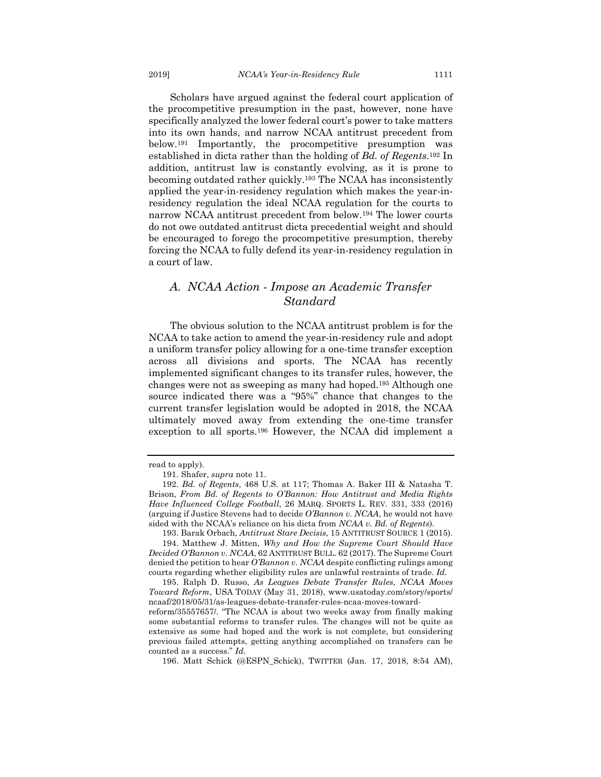Scholars have argued against the federal court application of the procompetitive presumption in the past, however, none have specifically analyzed the lower federal court's power to take matters into its own hands, and narrow NCAA antitrust precedent from below.191 Importantly, the procompetitive presumption was established in dicta rather than the holding of *Bd. of Regents*.192 In addition, antitrust law is constantly evolving, as it is prone to becoming outdated rather quickly.193 The NCAA has inconsistently applied the year-in-residency regulation which makes the year-inresidency regulation the ideal NCAA regulation for the courts to narrow NCAA antitrust precedent from below.194 The lower courts do not owe outdated antitrust dicta precedential weight and should be encouraged to forego the procompetitive presumption, thereby forcing the NCAA to fully defend its year-in-residency regulation in a court of law.

## *A. NCAA Action - Impose an Academic Transfer Standard*

The obvious solution to the NCAA antitrust problem is for the NCAA to take action to amend the year-in-residency rule and adopt a uniform transfer policy allowing for a one-time transfer exception across all divisions and sports. The NCAA has recently implemented significant changes to its transfer rules, however, the changes were not as sweeping as many had hoped.195 Although one source indicated there was a "95%" chance that changes to the current transfer legislation would be adopted in 2018, the NCAA ultimately moved away from extending the one-time transfer exception to all sports.196 However, the NCAA did implement a

read to apply).

<sup>191.</sup> Shafer, *supra* note 11.

<sup>192.</sup> *Bd. of Regents*, 468 U.S. at 117; Thomas A. Baker III & Natasha T. Brison, *From Bd. of Regents to O'Bannon: How Antitrust and Media Rights Have Influenced College Football*, 26 MARQ. SPORTS L. REV. 331, 333 (2016) (arguing if Justice Stevens had to decide *O'Bannon v. NCAA*, he would not have sided with the NCAA's reliance on his dicta from *NCAA v. Bd. of Regents*).

<sup>193.</sup> Barak Orbach, *Antitrust Stare Decisis*, 15 ANTITRUST SOURCE 1 (2015).

<sup>194.</sup> Matthew J. Mitten, *Why and How the Supreme Court Should Have Decided O'Bannon v. NCAA*, 62 ANTITRUST BULL. 62 (2017). The Supreme Court denied the petition to hear *O'Bannon v. NCAA* despite conflicting rulings among courts regarding whether eligibility rules are unlawful restraints of trade. *Id.*

<sup>195.</sup> Ralph D. Russo, *As Leagues Debate Transfer Rules, NCAA Moves Toward Reform*, USA TODAY (May 31, 2018), www.usatoday.com/story/sports/ ncaaf/2018/05/31/as-leagues-debate-transfer-rules-ncaa-moves-toward-

reform/35557657/. "The NCAA is about two weeks away from finally making some substantial reforms to transfer rules. The changes will not be quite as extensive as some had hoped and the work is not complete, but considering previous failed attempts, getting anything accomplished on transfers can be counted as a success." *Id.*

<sup>196.</sup> Matt Schick (@ESPN\_Schick), TWITTER (Jan. 17, 2018, 8:54 AM),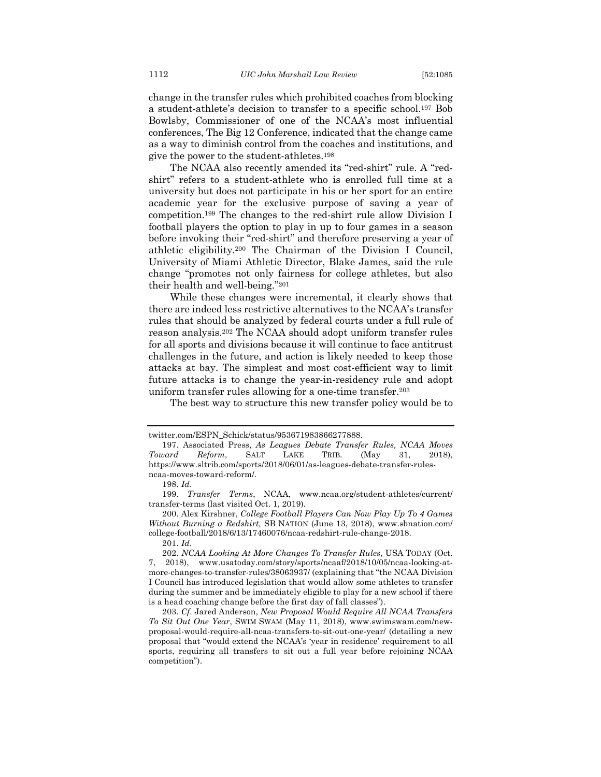change in the transfer rules which prohibited coaches from blocking a student-athlete's decision to transfer to a specific school.197 Bob Bowlsby, Commissioner of one of the NCAA's most influential conferences, The Big 12 Conference, indicated that the change came as a way to diminish control from the coaches and institutions, and give the power to the student-athletes.198

The NCAA also recently amended its "red-shirt" rule. A "redshirt" refers to a student-athlete who is enrolled full time at a university but does not participate in his or her sport for an entire academic year for the exclusive purpose of saving a year of competition.199 The changes to the red-shirt rule allow Division I football players the option to play in up to four games in a season before invoking their "red-shirt" and therefore preserving a year of athletic eligibility.200 The Chairman of the Division I Council, University of Miami Athletic Director, Blake James, said the rule change "promotes not only fairness for college athletes, but also their health and well-being."201

While these changes were incremental, it clearly shows that there are indeed less restrictive alternatives to the NCAA's transfer rules that should be analyzed by federal courts under a full rule of reason analysis.202 The NCAA should adopt uniform transfer rules for all sports and divisions because it will continue to face antitrust challenges in the future, and action is likely needed to keep those attacks at bay. The simplest and most cost-efficient way to limit future attacks is to change the year-in-residency rule and adopt uniform transfer rules allowing for a one-time transfer.203

The best way to structure this new transfer policy would be to

twitter.com/ESPN\_Schick/status/953671983866277888.

<sup>197.</sup> Associated Press, *As Leagues Debate Transfer Rules, NCAA Moves Toward Reform*, SALT LAKE TRIB. (May 31, 2018), https://www.sltrib.com/sports/2018/06/01/as-leagues-debate-transfer-rulesncaa-moves-toward-reform/.

<sup>198.</sup> *Id.*

<sup>199.</sup> *Transfer Terms*, NCAA, www.ncaa.org/student-athletes/current/ transfer-terms (last visited Oct. 1, 2019).

<sup>200.</sup> Alex Kirshner, *College Football Players Can Now Play Up To 4 Games Without Burning a Redshirt,* SB NATION (June 13, 2018), www.sbnation.com/ college-football/2018/6/13/17460076/ncaa-redshirt-rule-change-2018.

<sup>201.</sup> *Id.*

<sup>202.</sup> *NCAA Looking At More Changes To Transfer Rules*, USA TODAY (Oct. 7, 2018), www.usatoday.com/story/sports/ncaaf/2018/10/05/ncaa-looking-atmore-changes-to-transfer-rules/38063937/ (explaining that "the NCAA Division I Council has introduced legislation that would allow some athletes to transfer during the summer and be immediately eligible to play for a new school if there is a head coaching change before the first day of fall classes").

<sup>203.</sup> *Cf.* Jared Anderson, *New Proposal Would Require All NCAA Transfers To Sit Out One Year*, SWIM SWAM (May 11, 2018), www.swimswam.com/newproposal-would-require-all-ncaa-transfers-to-sit-out-one-year/ (detailing a new proposal that "would extend the NCAA's 'year in residence' requirement to all sports, requiring all transfers to sit out a full year before rejoining NCAA competition").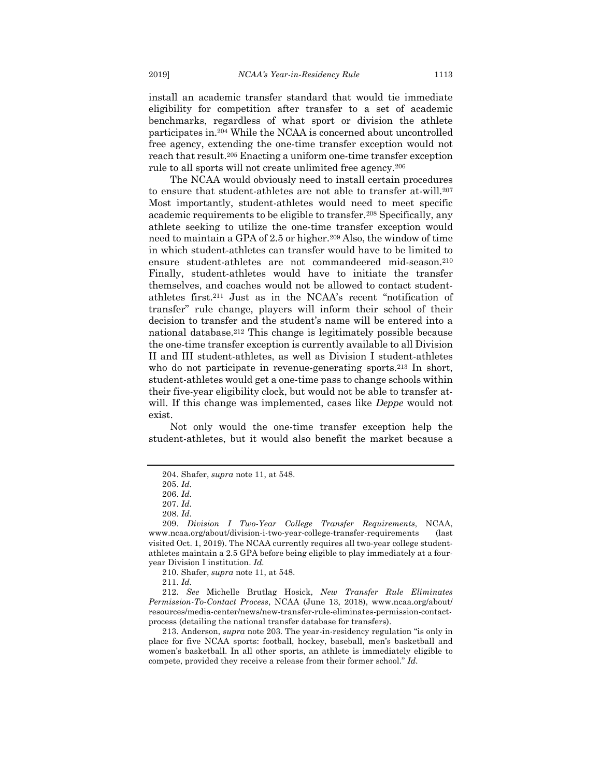install an academic transfer standard that would tie immediate eligibility for competition after transfer to a set of academic benchmarks, regardless of what sport or division the athlete participates in.204 While the NCAA is concerned about uncontrolled free agency, extending the one-time transfer exception would not reach that result.205 Enacting a uniform one-time transfer exception rule to all sports will not create unlimited free agency.206

The NCAA would obviously need to install certain procedures to ensure that student-athletes are not able to transfer at-will.207 Most importantly, student-athletes would need to meet specific academic requirements to be eligible to transfer.208 Specifically, any athlete seeking to utilize the one-time transfer exception would need to maintain a GPA of 2.5 or higher.209 Also, the window of time in which student-athletes can transfer would have to be limited to ensure student-athletes are not commandeered mid-season.210 Finally, student-athletes would have to initiate the transfer themselves, and coaches would not be allowed to contact studentathletes first.211 Just as in the NCAA's recent "notification of transfer" rule change, players will inform their school of their decision to transfer and the student's name will be entered into a national database.212 This change is legitimately possible because the one-time transfer exception is currently available to all Division II and III student-athletes, as well as Division I student-athletes who do not participate in revenue-generating sports.<sup>213</sup> In short, student-athletes would get a one-time pass to change schools within their five-year eligibility clock, but would not be able to transfer atwill. If this change was implemented, cases like *Deppe* would not exist.

Not only would the one-time transfer exception help the student-athletes, but it would also benefit the market because a

210. Shafer, *supra* note 11, at 548.

211. *Id.*

212. *See* Michelle Brutlag Hosick, *New Transfer Rule Eliminates Permission-To-Contact Process*, NCAA (June 13, 2018), www.ncaa.org/about/ resources/media-center/news/new-transfer-rule-eliminates-permission-contactprocess (detailing the national transfer database for transfers).

213. Anderson, *supra* note 203*.* The year-in-residency regulation "is only in place for five NCAA sports: football, hockey, baseball, men's basketball and women's basketball. In all other sports, an athlete is immediately eligible to compete, provided they receive a release from their former school." *Id.*

<sup>204.</sup> Shafer, *supra* note 11, at 548.

<sup>205.</sup> *Id.*

<sup>206.</sup> *Id.*

<sup>207.</sup> *Id.*

<sup>208.</sup> *Id.*

<sup>209.</sup> *Division I Two-Year College Transfer Requirements*, NCAA, www.ncaa.org/about/division-i-two-year-college-transfer-requirements (last visited Oct. 1, 2019). The NCAA currently requires all two-year college studentathletes maintain a 2.5 GPA before being eligible to play immediately at a fouryear Division I institution. *Id.*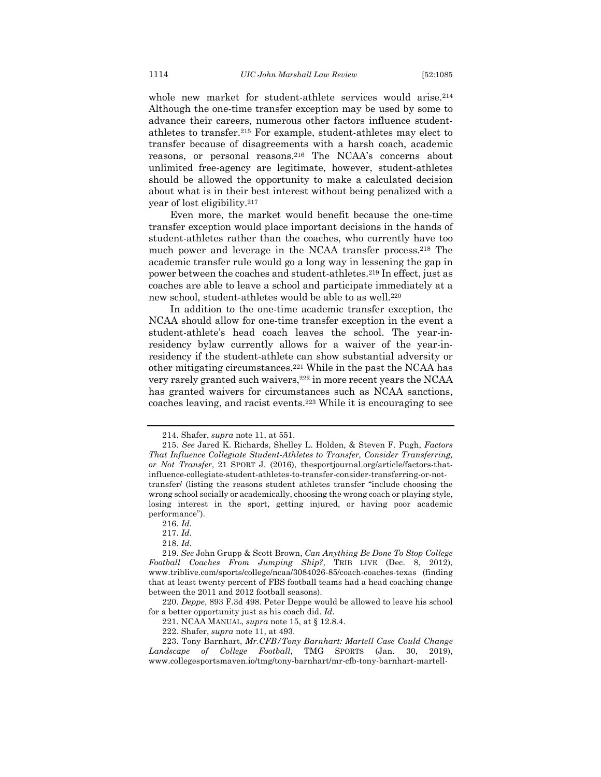whole new market for student-athlete services would arise.214 Although the one-time transfer exception may be used by some to advance their careers, numerous other factors influence studentathletes to transfer.215 For example, student-athletes may elect to transfer because of disagreements with a harsh coach, academic reasons, or personal reasons.216 The NCAA's concerns about unlimited free-agency are legitimate, however, student-athletes should be allowed the opportunity to make a calculated decision about what is in their best interest without being penalized with a year of lost eligibility.217

Even more, the market would benefit because the one-time transfer exception would place important decisions in the hands of student-athletes rather than the coaches, who currently have too much power and leverage in the NCAA transfer process.218 The academic transfer rule would go a long way in lessening the gap in power between the coaches and student-athletes.219 In effect, just as coaches are able to leave a school and participate immediately at a new school, student-athletes would be able to as well.220

In addition to the one-time academic transfer exception, the NCAA should allow for one-time transfer exception in the event a student-athlete's head coach leaves the school. The year-inresidency bylaw currently allows for a waiver of the year-inresidency if the student-athlete can show substantial adversity or other mitigating circumstances.221 While in the past the NCAA has very rarely granted such waivers,222 in more recent years the NCAA has granted waivers for circumstances such as NCAA sanctions, coaches leaving, and racist events.223 While it is encouraging to see

218. *Id.*

220. *Deppe*, 893 F.3d 498. Peter Deppe would be allowed to leave his school for a better opportunity just as his coach did. *Id.*

221. NCAA MANUAL, *supra* note 15, at § 12.8.4.

222. Shafer, *supra* note 11, at 493.

223. Tony Barnhart, *Mr.CFB/Tony Barnhart: Martell Case Could Change Landscape of College Football*, TMG SPORTS (Jan. 30, 2019), www.collegesportsmaven.io/tmg/tony-barnhart/mr-cfb-tony-barnhart-martell-

<sup>214.</sup> Shafer, *supra* note 11, at 551.

<sup>215.</sup> *See* Jared K. Richards, Shelley L. Holden, & Steven F. Pugh, *Factors That Influence Collegiate Student-Athletes to Transfer, Consider Transferring, or Not Transfer*, 21 SPORT J. (2016), thesportjournal.org/article/factors-thatinfluence-collegiate-student-athletes-to-transfer-consider-transferring-or-nottransfer/ (listing the reasons student athletes transfer "include choosing the wrong school socially or academically, choosing the wrong coach or playing style, losing interest in the sport, getting injured, or having poor academic performance").

<sup>216.</sup> *Id.*

<sup>217.</sup> *Id*.

<sup>219.</sup> *See* John Grupp & Scott Brown, *Can Anything Be Done To Stop College Football Coaches From Jumping Ship?*, TRIB LIVE (Dec. 8, 2012), www.triblive.com/sports/college/ncaa/3084026-85/coach-coaches-texas (finding that at least twenty percent of FBS football teams had a head coaching change between the 2011 and 2012 football seasons).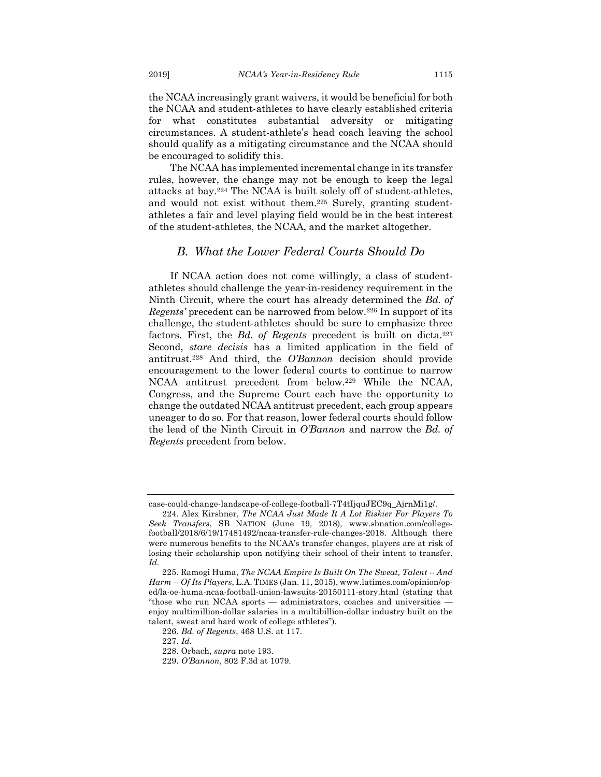the NCAA increasingly grant waivers, it would be beneficial for both the NCAA and student-athletes to have clearly established criteria for what constitutes substantial adversity or mitigating circumstances. A student-athlete's head coach leaving the school should qualify as a mitigating circumstance and the NCAA should be encouraged to solidify this.

The NCAA has implemented incremental change in its transfer rules, however, the change may not be enough to keep the legal attacks at bay.224 The NCAA is built solely off of student-athletes, and would not exist without them.225 Surely, granting studentathletes a fair and level playing field would be in the best interest of the student-athletes, the NCAA, and the market altogether.

## *B. What the Lower Federal Courts Should Do*

If NCAA action does not come willingly, a class of studentathletes should challenge the year-in-residency requirement in the Ninth Circuit, where the court has already determined the *Bd. of Regents'* precedent can be narrowed from below.226 In support of its challenge, the student-athletes should be sure to emphasize three factors. First, the *Bd. of Regents* precedent is built on dicta.227 Second, *stare decisis* has a limited application in the field of antitrust.228 And third, the *O'Bannon* decision should provide encouragement to the lower federal courts to continue to narrow NCAA antitrust precedent from below.229 While the NCAA, Congress, and the Supreme Court each have the opportunity to change the outdated NCAA antitrust precedent, each group appears uneager to do so. For that reason, lower federal courts should follow the lead of the Ninth Circuit in *O'Bannon* and narrow the *Bd. of Regents* precedent from below.

case-could-change-landscape-of-college-football-7T4tIjquJEC9q\_AjrnMi1g/.

<sup>224.</sup> Alex Kirshner, *The NCAA Just Made It A Lot Riskier For Players To Seek Transfers*, SB NATION (June 19, 2018), www.sbnation.com/collegefootball/2018/6/19/17481492/ncaa-transfer-rule-changes-2018. Although there were numerous benefits to the NCAA's transfer changes, players are at risk of losing their scholarship upon notifying their school of their intent to transfer. *Id.*

<sup>225.</sup> Ramogi Huma, *The NCAA Empire Is Built On The Sweat, Talent -- And Harm -- Of Its Players*, L.A. TIMES (Jan. 11, 2015), www.latimes.com/opinion/oped/la-oe-huma-ncaa-football-union-lawsuits-20150111-story.html (stating that "those who run NCAA sports — administrators, coaches and universities enjoy multimillion-dollar salaries in a multibillion-dollar industry built on the talent, sweat and hard work of college athletes").

<sup>226.</sup> *Bd. of Regents*, 468 U.S. at 117.

<sup>227.</sup> *Id*.

<sup>228.</sup> Orbach, *supra* note 193.

<sup>229.</sup> *O'Bannon*, 802 F.3d at 1079.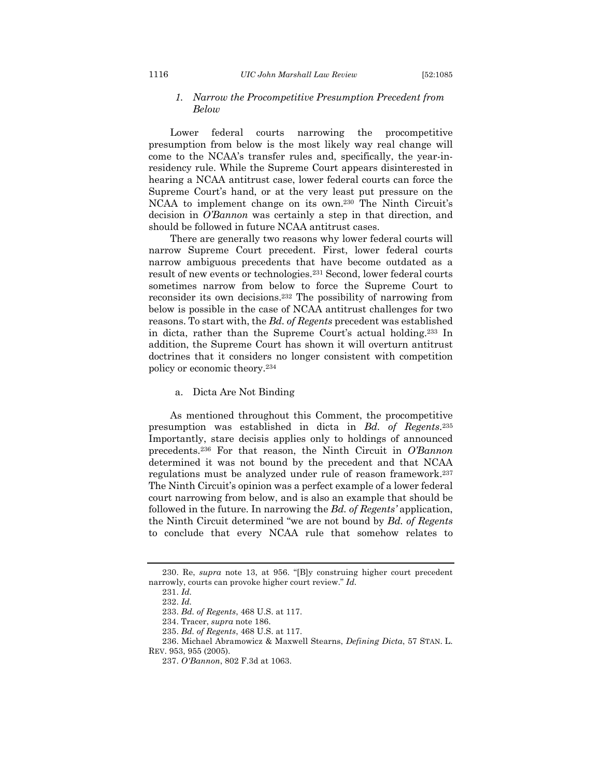#### 1116 *UIC John Marshall Law Review* [52:1085

#### *1. Narrow the Procompetitive Presumption Precedent from Below*

Lower federal courts narrowing the procompetitive presumption from below is the most likely way real change will come to the NCAA's transfer rules and, specifically, the year-inresidency rule. While the Supreme Court appears disinterested in hearing a NCAA antitrust case, lower federal courts can force the Supreme Court's hand, or at the very least put pressure on the NCAA to implement change on its own.230 The Ninth Circuit's decision in *O'Bannon* was certainly a step in that direction, and should be followed in future NCAA antitrust cases.

There are generally two reasons why lower federal courts will narrow Supreme Court precedent. First, lower federal courts narrow ambiguous precedents that have become outdated as a result of new events or technologies.231 Second, lower federal courts sometimes narrow from below to force the Supreme Court to reconsider its own decisions.232 The possibility of narrowing from below is possible in the case of NCAA antitrust challenges for two reasons. To start with, the *Bd. of Regents* precedent was established in dicta, rather than the Supreme Court's actual holding.233 In addition, the Supreme Court has shown it will overturn antitrust doctrines that it considers no longer consistent with competition policy or economic theory.234

a. Dicta Are Not Binding

As mentioned throughout this Comment, the procompetitive presumption was established in dicta in *Bd. of Regents*.235 Importantly, stare decisis applies only to holdings of announced precedents.236 For that reason, the Ninth Circuit in *O'Bannon* determined it was not bound by the precedent and that NCAA regulations must be analyzed under rule of reason framework.237 The Ninth Circuit's opinion was a perfect example of a lower federal court narrowing from below, and is also an example that should be followed in the future. In narrowing the *Bd. of Regents'* application, the Ninth Circuit determined "we are not bound by *Bd. of Regents* to conclude that every NCAA rule that somehow relates to

<sup>230.</sup> Re, *supra* note 13, at 956. "[B]y construing higher court precedent narrowly, courts can provoke higher court review." *Id.*

<sup>231.</sup> *Id.*

<sup>232.</sup> *Id.*

<sup>233.</sup> *Bd. of Regents*, 468 U.S. at 117.

<sup>234.</sup> Tracer, *supra* note 186.

<sup>235.</sup> *Bd. of Regents*, 468 U.S. at 117.

<sup>236.</sup> Michael Abramowicz & Maxwell Stearns, *Defining Dicta*, 57 STAN. L.

REV. 953, 955 (2005).

<sup>237.</sup> *O'Bannon*, 802 F.3d at 1063.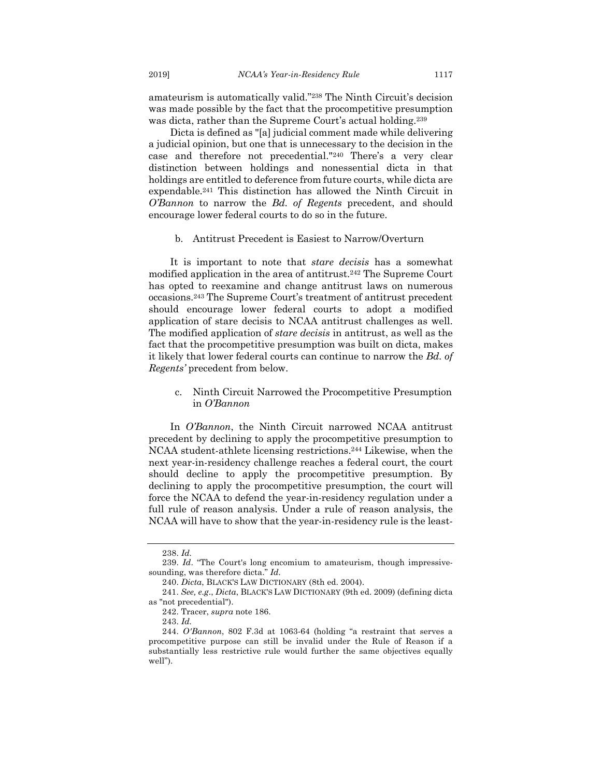amateurism is automatically valid."238 The Ninth Circuit's decision was made possible by the fact that the procompetitive presumption was dicta, rather than the Supreme Court's actual holding.<sup>239</sup>

Dicta is defined as "[a] judicial comment made while delivering a judicial opinion, but one that is unnecessary to the decision in the case and therefore not precedential."240 There's a very clear distinction between holdings and nonessential dicta in that holdings are entitled to deference from future courts, while dicta are expendable.241 This distinction has allowed the Ninth Circuit in *O'Bannon* to narrow the *Bd. of Regents* precedent, and should encourage lower federal courts to do so in the future.

#### b. Antitrust Precedent is Easiest to Narrow/Overturn

It is important to note that *stare decisis* has a somewhat modified application in the area of antitrust.242 The Supreme Court has opted to reexamine and change antitrust laws on numerous occasions.243 The Supreme Court's treatment of antitrust precedent should encourage lower federal courts to adopt a modified application of stare decisis to NCAA antitrust challenges as well. The modified application of *stare decisis* in antitrust, as well as the fact that the procompetitive presumption was built on dicta, makes it likely that lower federal courts can continue to narrow the *Bd. of Regents'* precedent from below.

c. Ninth Circuit Narrowed the Procompetitive Presumption in *O'Bannon*

In *O'Bannon*, the Ninth Circuit narrowed NCAA antitrust precedent by declining to apply the procompetitive presumption to NCAA student-athlete licensing restrictions.244 Likewise, when the next year-in-residency challenge reaches a federal court, the court should decline to apply the procompetitive presumption. By declining to apply the procompetitive presumption, the court will force the NCAA to defend the year-in-residency regulation under a full rule of reason analysis. Under a rule of reason analysis, the NCAA will have to show that the year-in-residency rule is the least-

<sup>238.</sup> *Id.*

<sup>239.</sup> *Id*. "The Court's long encomium to amateurism, though impressivesounding, was therefore dicta." *Id.*

<sup>240.</sup> *Dicta*, BLACK'S LAW DICTIONARY (8th ed. 2004).

<sup>241.</sup> *See, e.g*., *Dicta*, BLACK'S LAW DICTIONARY (9th ed. 2009) (defining dicta as "not precedential").

<sup>242.</sup> Tracer, *supra* note 186.

<sup>243.</sup> *Id.*

<sup>244.</sup> *O'Bannon*, 802 F.3d at 1063-64 (holding "a restraint that serves a procompetitive purpose can still be invalid under the Rule of Reason if a substantially less restrictive rule would further the same objectives equally well").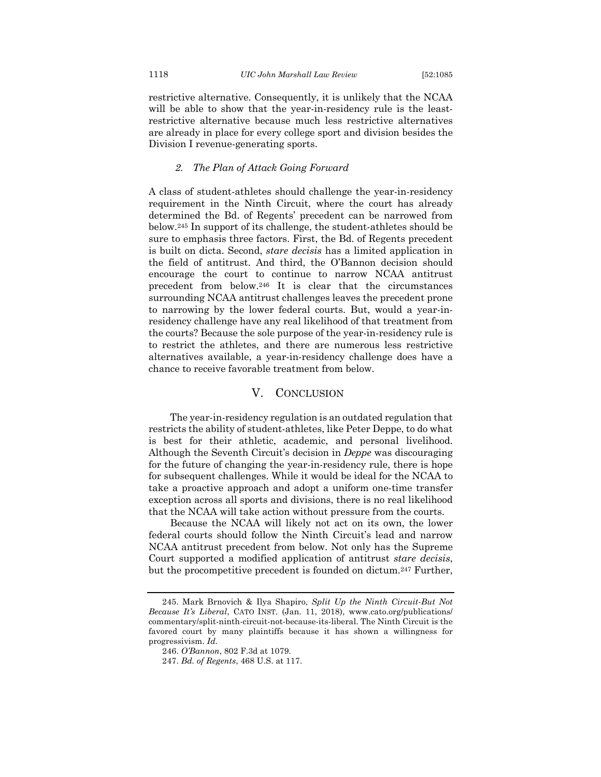restrictive alternative. Consequently, it is unlikely that the NCAA will be able to show that the year-in-residency rule is the leastrestrictive alternative because much less restrictive alternatives are already in place for every college sport and division besides the Division I revenue-generating sports.

#### *2. The Plan of Attack Going Forward*

A class of student-athletes should challenge the year-in-residency requirement in the Ninth Circuit, where the court has already determined the Bd. of Regents' precedent can be narrowed from below.245 In support of its challenge, the student-athletes should be sure to emphasis three factors. First, the Bd. of Regents precedent is built on dicta. Second, *stare decisis* has a limited application in the field of antitrust. And third, the O'Bannon decision should encourage the court to continue to narrow NCAA antitrust precedent from below.246 It is clear that the circumstances surrounding NCAA antitrust challenges leaves the precedent prone to narrowing by the lower federal courts. But, would a year-inresidency challenge have any real likelihood of that treatment from the courts? Because the sole purpose of the year-in-residency rule is to restrict the athletes, and there are numerous less restrictive alternatives available, a year-in-residency challenge does have a chance to receive favorable treatment from below.

### V. CONCLUSION

The year-in-residency regulation is an outdated regulation that restricts the ability of student-athletes, like Peter Deppe, to do what is best for their athletic, academic, and personal livelihood. Although the Seventh Circuit's decision in *Deppe* was discouraging for the future of changing the year-in-residency rule, there is hope for subsequent challenges. While it would be ideal for the NCAA to take a proactive approach and adopt a uniform one-time transfer exception across all sports and divisions, there is no real likelihood that the NCAA will take action without pressure from the courts.

Because the NCAA will likely not act on its own, the lower federal courts should follow the Ninth Circuit's lead and narrow NCAA antitrust precedent from below. Not only has the Supreme Court supported a modified application of antitrust *stare decisis*, but the procompetitive precedent is founded on dictum.247 Further,

<sup>245.</sup> Mark Brnovich & Ilya Shapiro, *Split Up the Ninth Circuit-But Not Because It's Liberal*, CATO INST. (Jan. 11, 2018), www.cato.org/publications/ commentary/split-ninth-circuit-not-because-its-liberal. The Ninth Circuit is the favored court by many plaintiffs because it has shown a willingness for progressivism. *Id.*

<sup>246.</sup> *O'Bannon*, 802 F.3d at 1079.

<sup>247.</sup> *Bd. of Regents*, 468 U.S. at 117.